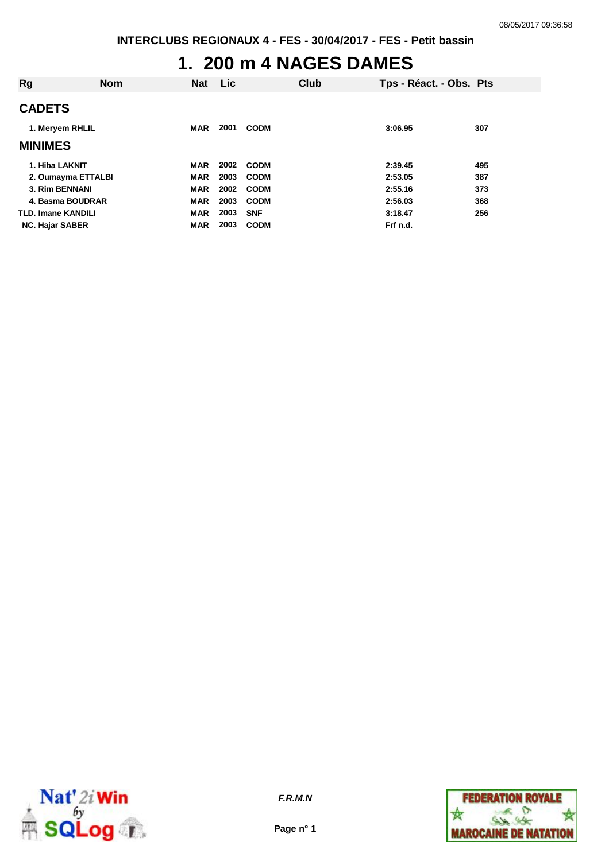### **1. 200 m 4 NAGES DAMES**

| Rg                     | <b>Nom</b> | <b>Nat</b> | Lic  |             | Club | Tps - Réact. - Obs. Pts |     |
|------------------------|------------|------------|------|-------------|------|-------------------------|-----|
| <b>CADETS</b>          |            |            |      |             |      |                         |     |
| 1. Meryem RHLIL        |            | <b>MAR</b> | 2001 | <b>CODM</b> |      | 3:06.95                 | 307 |
| <b>MINIMES</b>         |            |            |      |             |      |                         |     |
| 1. Hiba LAKNIT         |            | <b>MAR</b> | 2002 | <b>CODM</b> |      | 2:39.45                 | 495 |
| 2. Oumayma ETTALBI     |            | <b>MAR</b> | 2003 | <b>CODM</b> |      | 2:53.05                 | 387 |
| 3. Rim BENNANI         |            | <b>MAR</b> | 2002 | <b>CODM</b> |      | 2:55.16                 | 373 |
| 4. Basma BOUDRAR       |            | <b>MAR</b> | 2003 | <b>CODM</b> |      | 2:56.03                 | 368 |
| TLD. Imane KANDILI     |            | <b>MAR</b> | 2003 | <b>SNF</b>  |      | 3:18.47                 | 256 |
| <b>NC. Hajar SABER</b> |            | <b>MAR</b> | 2003 | <b>CODM</b> |      | Frf n.d.                |     |



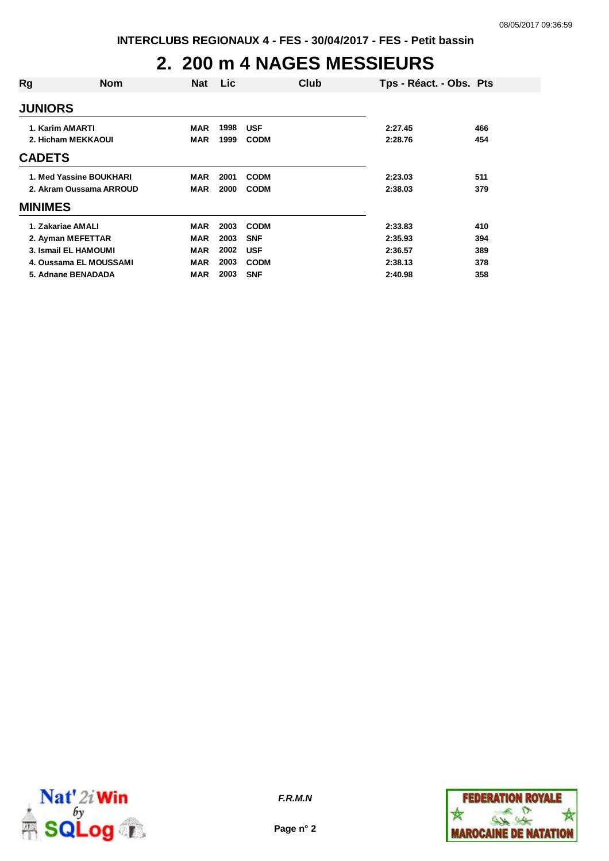# **2. 200 m 4 NAGES MESSIEURS**

| Rg              | <b>Nom</b>              | <b>Nat</b> | Lic  |             | Club | Tps - Réact. - Obs. Pts |     |
|-----------------|-------------------------|------------|------|-------------|------|-------------------------|-----|
| <b>JUNIORS</b>  |                         |            |      |             |      |                         |     |
| 1. Karim AMARTI |                         | MAR        | 1998 | <b>USF</b>  |      | 2:27.45                 | 466 |
|                 | 2. Hicham MEKKAOUI      | <b>MAR</b> | 1999 | <b>CODM</b> |      | 2:28.76                 | 454 |
| <b>CADETS</b>   |                         |            |      |             |      |                         |     |
|                 | 1. Med Yassine BOUKHARI | MAR        | 2001 | <b>CODM</b> |      | 2:23.03                 | 511 |
|                 | 2. Akram Oussama ARROUD | MAR        | 2000 | <b>CODM</b> |      | 2:38.03                 | 379 |
| <b>MINIMES</b>  |                         |            |      |             |      |                         |     |
|                 | 1. Zakariae AMALI       | <b>MAR</b> | 2003 | <b>CODM</b> |      | 2:33.83                 | 410 |
|                 | 2. Ayman MEFETTAR       | <b>MAR</b> | 2003 | <b>SNF</b>  |      | 2:35.93                 | 394 |
|                 | 3. Ismail EL HAMOUMI    | <b>MAR</b> | 2002 | <b>USF</b>  |      | 2:36.57                 | 389 |
|                 | 4. Oussama EL MOUSSAMI  | <b>MAR</b> | 2003 | <b>CODM</b> |      | 2:38.13                 | 378 |
|                 | 5. Adnane BENADADA      | MAR        | 2003 | <b>SNF</b>  |      | 2:40.98                 | 358 |



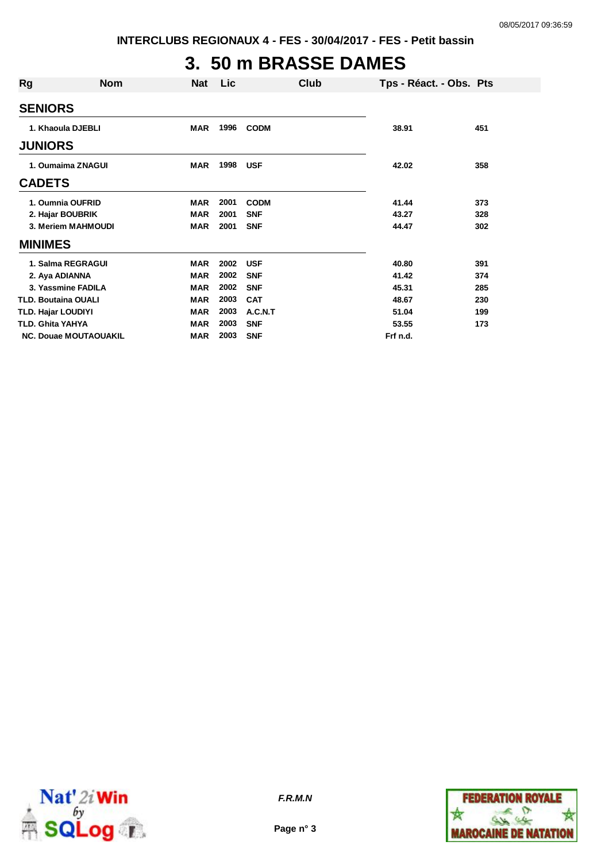# **3. 50 m BRASSE DAMES**

| Rg                           | <b>Nom</b> | <b>Nat</b> | <b>Lic</b> | Club        |          | Tps - Réact. - Obs. Pts |
|------------------------------|------------|------------|------------|-------------|----------|-------------------------|
| <b>SENIORS</b>               |            |            |            |             |          |                         |
| 1. Khaoula DJEBLI            |            | MAR        | 1996       | <b>CODM</b> | 38.91    | 451                     |
| <b>JUNIORS</b>               |            |            |            |             |          |                         |
| 1. Oumaima ZNAGUI            |            | <b>MAR</b> | 1998       | <b>USF</b>  | 42.02    | 358                     |
| <b>CADETS</b>                |            |            |            |             |          |                         |
| 1. Oumnia OUFRID             |            | <b>MAR</b> | 2001       | <b>CODM</b> | 41.44    | 373                     |
| 2. Hajar BOUBRIK             |            | <b>MAR</b> | 2001       | <b>SNF</b>  | 43.27    | 328                     |
| 3. Meriem MAHMOUDI           |            | <b>MAR</b> | 2001       | <b>SNF</b>  | 44.47    | 302                     |
| <b>MINIMES</b>               |            |            |            |             |          |                         |
| 1. Salma REGRAGUI            |            | <b>MAR</b> | 2002       | <b>USF</b>  | 40.80    | 391                     |
| 2. Aya ADIANNA               |            | <b>MAR</b> | 2002       | <b>SNF</b>  | 41.42    | 374                     |
| 3. Yassmine FADILA           |            | <b>MAR</b> | 2002       | <b>SNF</b>  | 45.31    | 285                     |
| TLD. Boutaina OUALI          |            | <b>MAR</b> | 2003       | <b>CAT</b>  | 48.67    | 230                     |
| TLD. Hajar LOUDIYI           |            | <b>MAR</b> | 2003       | A.C.N.T     | 51.04    | 199                     |
| TLD. Ghita YAHYA             |            | <b>MAR</b> | 2003       | <b>SNF</b>  | 53.55    | 173                     |
| <b>NC. Douae MOUTAOUAKIL</b> |            | <b>MAR</b> | 2003       | <b>SNF</b>  | Frf n.d. |                         |



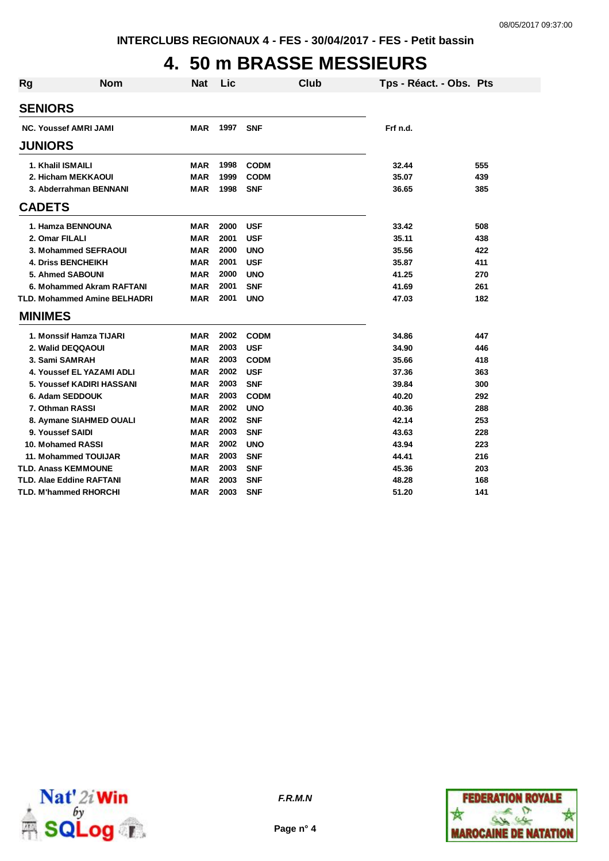# **4. 50 m BRASSE MESSIEURS**

| Rg | <b>Nom</b>                      | <b>Nat</b> | Lic  | Club        | Tps - Réact. - Obs. Pts |     |
|----|---------------------------------|------------|------|-------------|-------------------------|-----|
|    | <b>SENIORS</b>                  |            |      |             |                         |     |
|    | <b>NC. Youssef AMRI JAMI</b>    | MAR        | 1997 | <b>SNF</b>  | Frf n.d.                |     |
|    | <b>JUNIORS</b>                  |            |      |             |                         |     |
|    | 1. Khalil ISMAILI               | <b>MAR</b> | 1998 | <b>CODM</b> | 32.44                   | 555 |
|    | 2. Hicham MEKKAOUI              | <b>MAR</b> | 1999 | <b>CODM</b> | 35.07                   | 439 |
|    | 3. Abderrahman BENNANI          | <b>MAR</b> | 1998 | <b>SNF</b>  | 36.65                   | 385 |
|    | <b>CADETS</b>                   |            |      |             |                         |     |
|    | 1. Hamza BENNOUNA               | MAR        | 2000 | <b>USF</b>  | 33.42                   | 508 |
|    | 2. Omar FILALI                  | <b>MAR</b> | 2001 | <b>USF</b>  | 35.11                   | 438 |
|    | 3. Mohammed SEFRAOUI            | <b>MAR</b> | 2000 | <b>UNO</b>  | 35.56                   | 422 |
|    | <b>4. Driss BENCHEIKH</b>       | <b>MAR</b> | 2001 | <b>USF</b>  | 35.87                   | 411 |
|    | 5. Ahmed SABOUNI                | <b>MAR</b> | 2000 | <b>UNO</b>  | 41.25                   | 270 |
|    | 6. Mohammed Akram RAFTANI       | MAR        | 2001 | <b>SNF</b>  | 41.69                   | 261 |
|    | TLD. Mohammed Amine BELHADRI    | <b>MAR</b> | 2001 | <b>UNO</b>  | 47.03                   | 182 |
|    | <b>MINIMES</b>                  |            |      |             |                         |     |
|    | 1. Monssif Hamza TIJARI         | <b>MAR</b> | 2002 | <b>CODM</b> | 34.86                   | 447 |
|    | 2. Walid DEQQAOUI               | <b>MAR</b> | 2003 | <b>USF</b>  | 34.90                   | 446 |
|    | 3. Sami SAMRAH                  | <b>MAR</b> | 2003 | <b>CODM</b> | 35.66                   | 418 |
|    | 4. Youssef EL YAZAMI ADLI       | <b>MAR</b> | 2002 | <b>USF</b>  | 37.36                   | 363 |
|    | 5. Youssef KADIRI HASSANI       | <b>MAR</b> | 2003 | <b>SNF</b>  | 39.84                   | 300 |
|    | 6. Adam SEDDOUK                 | MAR        | 2003 | <b>CODM</b> | 40.20                   | 292 |
|    | 7. Othman RASSI                 | <b>MAR</b> | 2002 | <b>UNO</b>  | 40.36                   | 288 |
|    | 8. Aymane SIAHMED OUALI         | <b>MAR</b> | 2002 | <b>SNF</b>  | 42.14                   | 253 |
|    | 9. Youssef SAIDI                | <b>MAR</b> | 2003 | <b>SNF</b>  | 43.63                   | 228 |
|    | 10. Mohamed RASSI               | <b>MAR</b> | 2002 | <b>UNO</b>  | 43.94                   | 223 |
|    | 11. Mohammed TOUIJAR            | <b>MAR</b> | 2003 | <b>SNF</b>  | 44.41                   | 216 |
|    | <b>TLD. Anass KEMMOUNE</b>      | <b>MAR</b> | 2003 | <b>SNF</b>  | 45.36                   | 203 |
|    | <b>TLD. Alae Eddine RAFTANI</b> | <b>MAR</b> | 2003 | <b>SNF</b>  | 48.28                   | 168 |
|    | TLD. M'hammed RHORCHI           | <b>MAR</b> | 2003 | <b>SNF</b>  | 51.20                   | 141 |



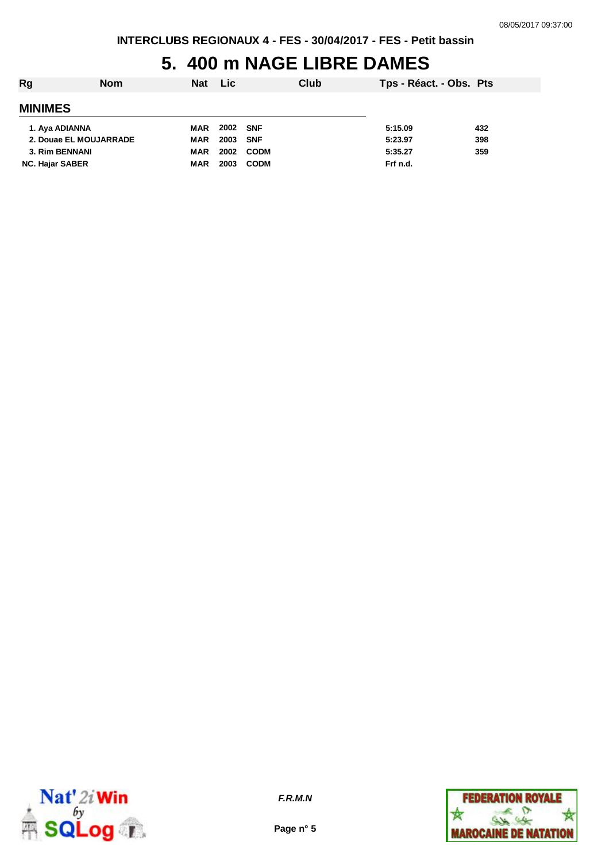# **5. 400 m NAGE LIBRE DAMES**

| Rg                     | <b>Nom</b> | Nat Lic    |          |             | Club | Tps - Réact. - Obs. Pts |     |
|------------------------|------------|------------|----------|-------------|------|-------------------------|-----|
| <b>MINIMES</b>         |            |            |          |             |      |                         |     |
| 1. Aya ADIANNA         |            | <b>MAR</b> | 2002 SNF |             |      | 5:15.09                 | 432 |
| 2. Douae EL MOUJARRADE |            | MAR        | 2003     | <b>SNF</b>  |      | 5:23.97                 | 398 |
| 3. Rim BENNANI         |            | MAR        | 2002     | <b>CODM</b> |      | 5:35.27                 | 359 |
| <b>NC. Hajar SABER</b> |            | <b>MAR</b> | 2003     | <b>CODM</b> |      | Frf n.d.                |     |



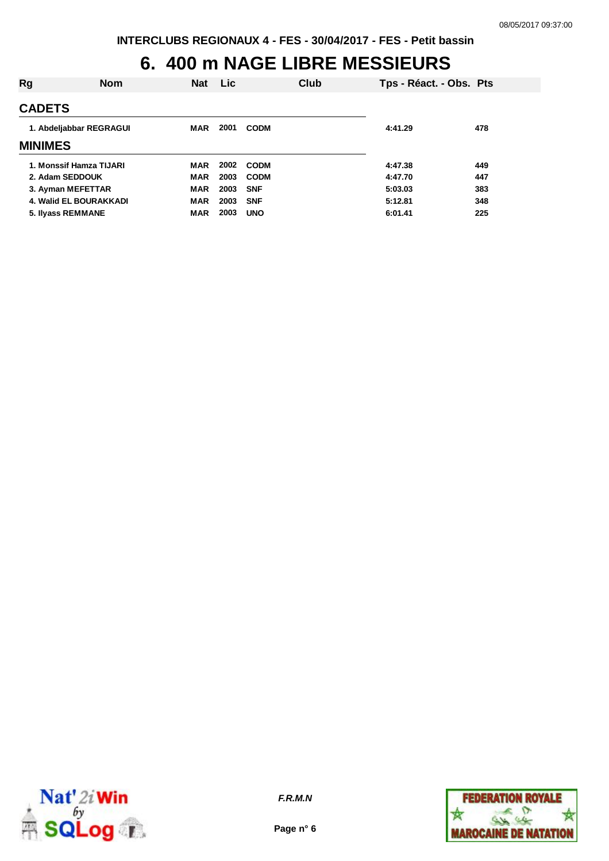### **6. 400 m NAGE LIBRE MESSIEURS**

| Rg             | <b>Nom</b>              | Nat        | Lic  |             | Club | Tps - Réact. - Obs. Pts |     |
|----------------|-------------------------|------------|------|-------------|------|-------------------------|-----|
| <b>CADETS</b>  |                         |            |      |             |      |                         |     |
|                | 1. Abdeljabbar REGRAGUI | MAR        | 2001 | <b>CODM</b> |      | 4:41.29                 | 478 |
| <b>MINIMES</b> |                         |            |      |             |      |                         |     |
|                | 1. Monssif Hamza TIJARI | MAR        | 2002 | <b>CODM</b> |      | 4:47.38                 | 449 |
|                | 2. Adam SEDDOUK         | <b>MAR</b> | 2003 | <b>CODM</b> |      | 4:47.70                 | 447 |
|                | 3. Ayman MEFETTAR       | <b>MAR</b> | 2003 | <b>SNF</b>  |      | 5:03.03                 | 383 |
|                | 4. Walid EL BOURAKKADI  | <b>MAR</b> | 2003 | <b>SNF</b>  |      | 5:12.81                 | 348 |
|                | 5. Ilyass REMMANE       | <b>MAR</b> | 2003 | <b>UNO</b>  |      | 6:01.41                 | 225 |
|                |                         |            |      |             |      |                         |     |



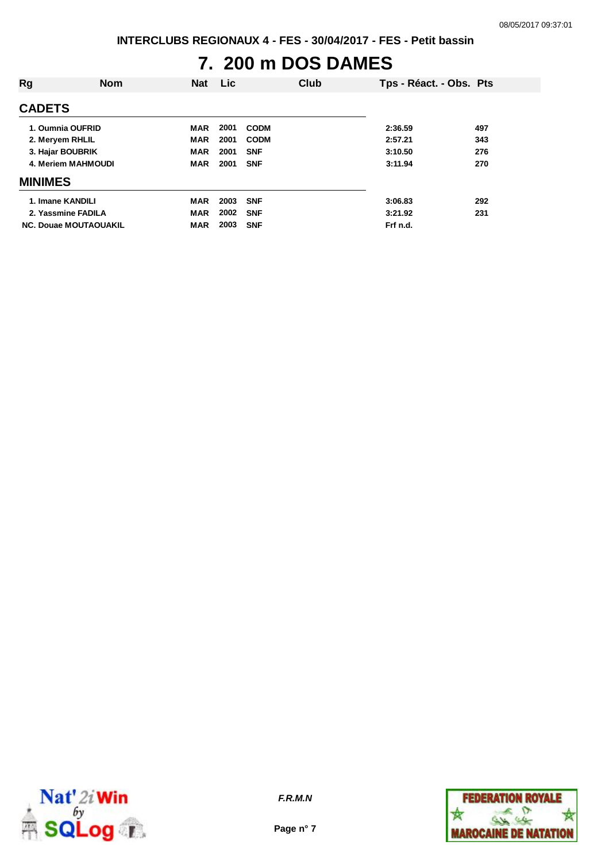# **7. 200 m DOS DAMES**

| <b>Rg</b>                    | <b>Nom</b> | <b>Nat</b> | Lic <b>Lic</b> |             | Club | Tps - Réact. - Obs. Pts |     |
|------------------------------|------------|------------|----------------|-------------|------|-------------------------|-----|
| <b>CADETS</b>                |            |            |                |             |      |                         |     |
| 1. Oumnia OUFRID             |            | <b>MAR</b> | 2001           | <b>CODM</b> |      | 2:36.59                 | 497 |
| 2. Meryem RHLIL              |            | <b>MAR</b> | 2001           | <b>CODM</b> |      | 2:57.21                 | 343 |
| 3. Hajar BOUBRIK             |            | <b>MAR</b> | 2001           | <b>SNF</b>  |      | 3:10.50                 | 276 |
| 4. Meriem MAHMOUDI           |            | <b>MAR</b> | 2001           | <b>SNF</b>  |      | 3:11.94                 | 270 |
| <b>MINIMES</b>               |            |            |                |             |      |                         |     |
| 1. Imane KANDILI             |            | <b>MAR</b> | 2003           | <b>SNF</b>  |      | 3:06.83                 | 292 |
| 2. Yassmine FADILA           |            | <b>MAR</b> | 2002           | <b>SNF</b>  |      | 3:21.92                 | 231 |
| <b>NC. Douae MOUTAOUAKIL</b> |            | <b>MAR</b> | 2003           | <b>SNF</b>  |      | Frf n.d.                |     |



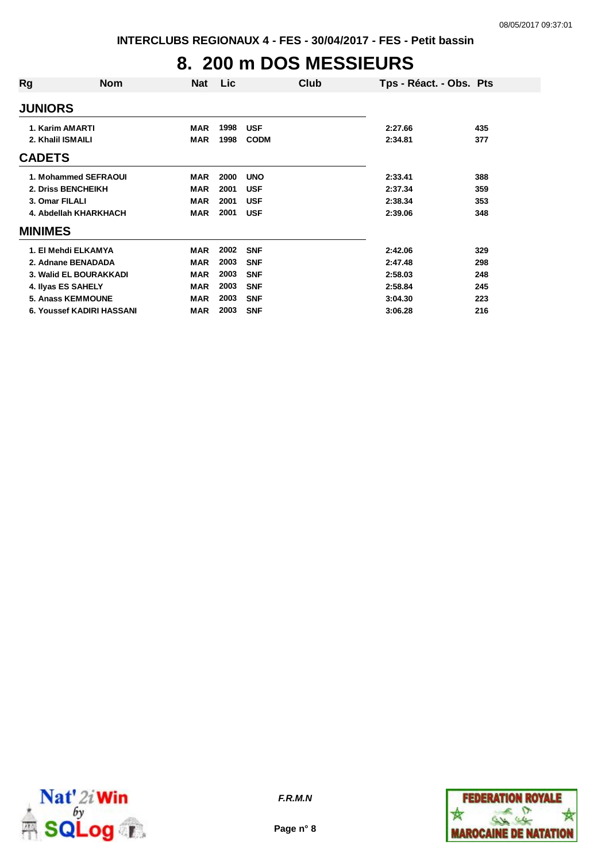# **8. 200 m DOS MESSIEURS**

| Rg                | <b>Nom</b>                | <b>Nat</b> | Lic  | Club        | Tps - Réact. - Obs. Pts |     |
|-------------------|---------------------------|------------|------|-------------|-------------------------|-----|
| <b>JUNIORS</b>    |                           |            |      |             |                         |     |
| 1. Karim AMARTI   |                           | <b>MAR</b> | 1998 | <b>USF</b>  | 2:27.66                 | 435 |
| 2. Khalil ISMAILI |                           | <b>MAR</b> | 1998 | <b>CODM</b> | 2:34.81                 | 377 |
| <b>CADETS</b>     |                           |            |      |             |                         |     |
|                   | 1. Mohammed SEFRAOUI      | <b>MAR</b> | 2000 | <b>UNO</b>  | 2:33.41                 | 388 |
|                   | 2. Driss BENCHEIKH        | <b>MAR</b> | 2001 | <b>USF</b>  | 2:37.34                 | 359 |
| 3. Omar FILALI    |                           | <b>MAR</b> | 2001 | <b>USF</b>  | 2:38.34                 | 353 |
|                   | 4. Abdellah KHARKHACH     | <b>MAR</b> | 2001 | <b>USF</b>  | 2:39.06                 | 348 |
| <b>MINIMES</b>    |                           |            |      |             |                         |     |
|                   | 1. El Mehdi ELKAMYA       | <b>MAR</b> | 2002 | <b>SNF</b>  | 2:42.06                 | 329 |
|                   | 2. Adnane BENADADA        | <b>MAR</b> | 2003 | <b>SNF</b>  | 2:47.48                 | 298 |
|                   | 3. Walid EL BOURAKKADI    | <b>MAR</b> | 2003 | <b>SNF</b>  | 2:58.03                 | 248 |
|                   | 4. Ilyas ES SAHELY        | <b>MAR</b> | 2003 | <b>SNF</b>  | 2:58.84                 | 245 |
|                   | <b>5. Anass KEMMOUNE</b>  | <b>MAR</b> | 2003 | <b>SNF</b>  | 3:04.30                 | 223 |
|                   | 6. Youssef KADIRI HASSANI | <b>MAR</b> | 2003 | <b>SNF</b>  | 3:06.28                 | 216 |



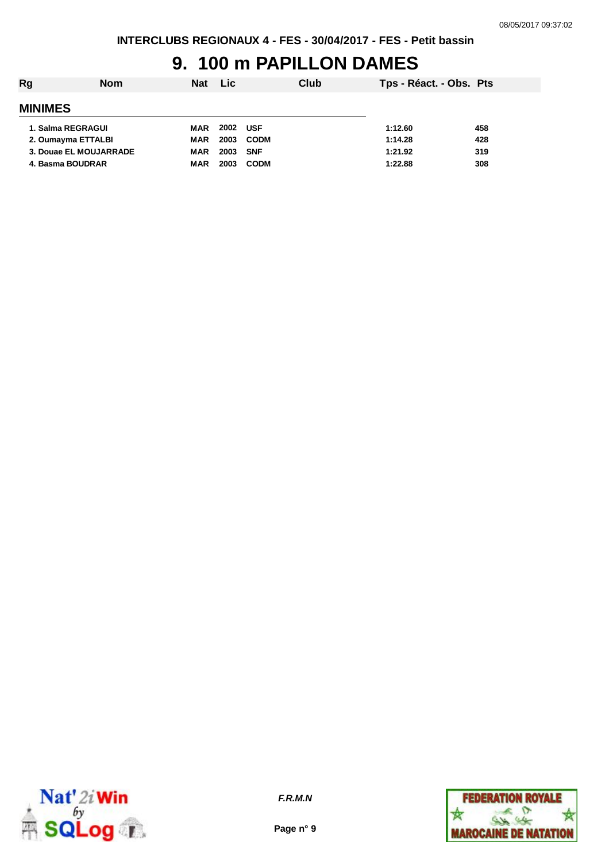#### **9. 100 m PAPILLON DAMES**

| Rg | <b>Nom</b>             | Nat        | Lic  |             | Club | Tps - Réact. - Obs. Pts |     |
|----|------------------------|------------|------|-------------|------|-------------------------|-----|
|    | <b>MINIMES</b>         |            |      |             |      |                         |     |
|    | 1. Salma REGRAGUI      | MAR        | 2002 | <b>USF</b>  |      | 1:12.60                 | 458 |
|    | 2. Oumayma ETTALBI     | MAR        | 2003 | <b>CODM</b> |      | 1:14.28                 | 428 |
|    | 3. Douae EL MOUJARRADE | MAR        | 2003 | SNF         |      | 1:21.92                 | 319 |
|    | 4. Basma BOUDRAR       | <b>MAR</b> | 2003 | <b>CODM</b> |      | 1:22.88                 | 308 |
|    |                        |            |      |             |      |                         |     |



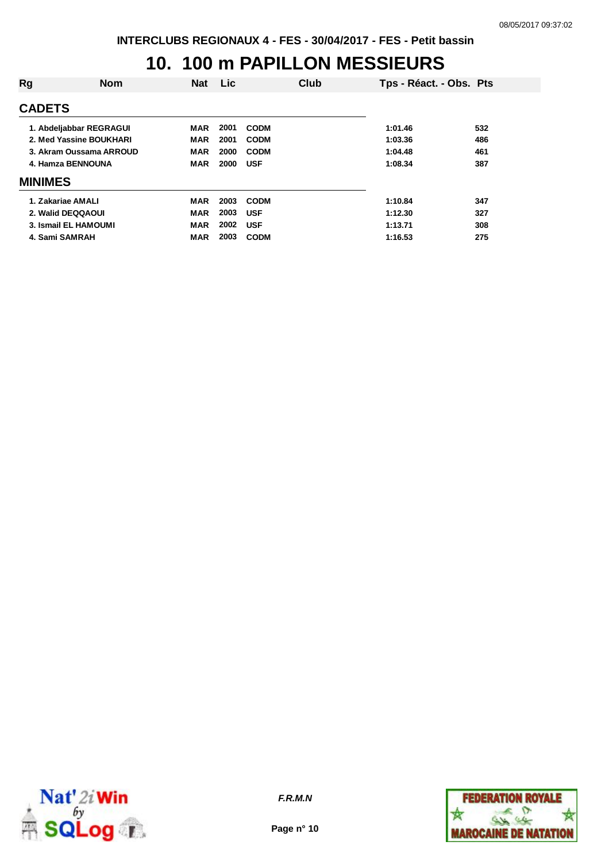### **10. 100 m PAPILLON MESSIEURS**

| Rg                | <b>Nom</b>              | <b>Nat</b> | <b>Lic</b> | Club        | Tps - Réact. - Obs. Pts |     |
|-------------------|-------------------------|------------|------------|-------------|-------------------------|-----|
| <b>CADETS</b>     |                         |            |            |             |                         |     |
|                   | 1. Abdeljabbar REGRAGUI | <b>MAR</b> | 2001       | <b>CODM</b> | 1:01.46                 | 532 |
|                   | 2. Med Yassine BOUKHARI | <b>MAR</b> | 2001       | <b>CODM</b> | 1:03.36                 | 486 |
|                   | 3. Akram Oussama ARROUD | <b>MAR</b> | 2000       | <b>CODM</b> | 1:04.48                 | 461 |
| 4. Hamza BENNOUNA |                         | <b>MAR</b> | 2000       | <b>USF</b>  | 1:08.34                 | 387 |
| <b>MINIMES</b>    |                         |            |            |             |                         |     |
| 1. Zakariae AMALI |                         | MAR        | 2003       | <b>CODM</b> | 1:10.84                 | 347 |
|                   | 2. Walid DEQQAOUI       | <b>MAR</b> | 2003       | <b>USF</b>  | 1:12.30                 | 327 |
|                   | 3. Ismail EL HAMOUMI    | <b>MAR</b> | 2002       | <b>USF</b>  | 1:13.71                 | 308 |
| 4. Sami SAMRAH    |                         | <b>MAR</b> | 2003       | <b>CODM</b> | 1:16.53                 | 275 |
|                   |                         |            |            |             |                         |     |



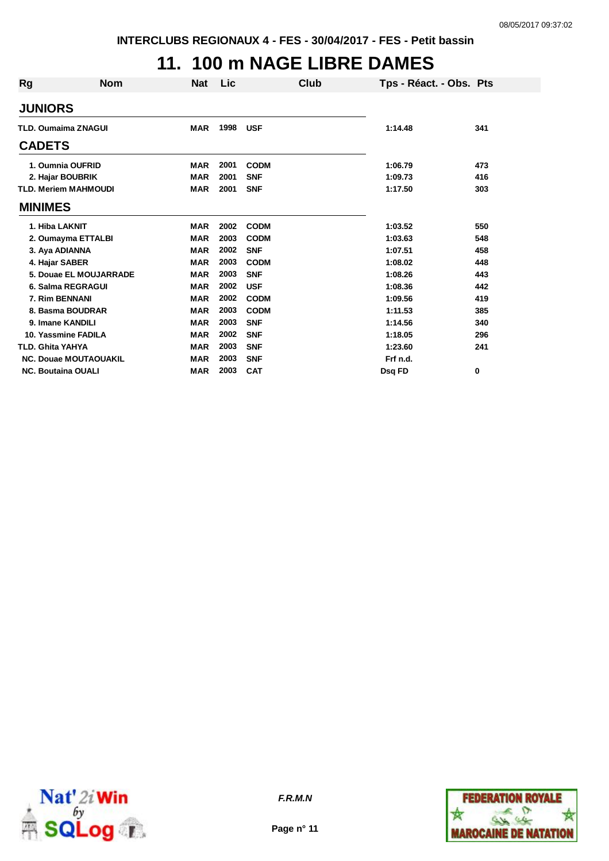# **11. 100 m NAGE LIBRE DAMES**

| Rg | <b>Nom</b>                   | <b>Nat</b> | Lic  | Club        |          | Tps - Réact. - Obs. Pts |
|----|------------------------------|------------|------|-------------|----------|-------------------------|
|    | <b>JUNIORS</b>               |            |      |             |          |                         |
|    | <b>TLD. Oumaima ZNAGUI</b>   | <b>MAR</b> | 1998 | <b>USF</b>  | 1:14.48  | 341                     |
|    | <b>CADETS</b>                |            |      |             |          |                         |
|    | 1. Oumnia OUFRID             | <b>MAR</b> | 2001 | <b>CODM</b> | 1:06.79  | 473                     |
|    | 2. Hajar BOUBRIK             | <b>MAR</b> | 2001 | <b>SNF</b>  | 1:09.73  | 416                     |
|    | <b>TLD. Meriem MAHMOUDI</b>  | <b>MAR</b> | 2001 | <b>SNF</b>  | 1:17.50  | 303                     |
|    | <b>MINIMES</b>               |            |      |             |          |                         |
|    | 1. Hiba LAKNIT               | <b>MAR</b> | 2002 | <b>CODM</b> | 1:03.52  | 550                     |
|    | 2. Oumayma ETTALBI           | <b>MAR</b> | 2003 | <b>CODM</b> | 1:03.63  | 548                     |
|    | 3. Aya ADIANNA               | <b>MAR</b> | 2002 | <b>SNF</b>  | 1:07.51  | 458                     |
|    | 4. Hajar SABER               | <b>MAR</b> | 2003 | <b>CODM</b> | 1:08.02  | 448                     |
|    | 5. Douae EL MOUJARRADE       | <b>MAR</b> | 2003 | <b>SNF</b>  | 1:08.26  | 443                     |
|    | 6. Salma REGRAGUI            | <b>MAR</b> | 2002 | <b>USF</b>  | 1:08.36  | 442                     |
|    | 7. Rim BENNANI               | <b>MAR</b> | 2002 | <b>CODM</b> | 1:09.56  | 419                     |
|    | 8. Basma BOUDRAR             | <b>MAR</b> | 2003 | <b>CODM</b> | 1:11.53  | 385                     |
|    | 9. Imane KANDILI             | <b>MAR</b> | 2003 | <b>SNF</b>  | 1:14.56  | 340                     |
|    | 10. Yassmine FADILA          | <b>MAR</b> | 2002 | <b>SNF</b>  | 1:18.05  | 296                     |
|    | <b>TLD. Ghita YAHYA</b>      | <b>MAR</b> | 2003 | <b>SNF</b>  | 1:23.60  | 241                     |
|    | <b>NC. Douae MOUTAOUAKIL</b> | <b>MAR</b> | 2003 | <b>SNF</b>  | Frf n.d. |                         |
|    | <b>NC. Boutaina OUALI</b>    | <b>MAR</b> | 2003 | <b>CAT</b>  | Dsq FD   | 0                       |



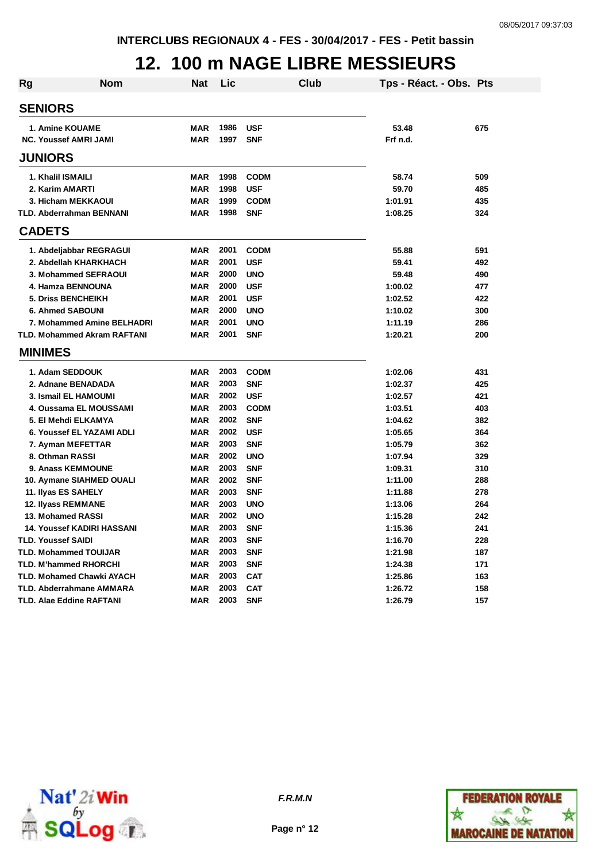### **12. 100 m NAGE LIBRE MESSIEURS**

| <b>Rg</b> | Nom                                | <b>Nat</b> | Lic  | Club        | Tps - Réact. - Obs. Pts |     |
|-----------|------------------------------------|------------|------|-------------|-------------------------|-----|
|           | <b>SENIORS</b>                     |            |      |             |                         |     |
|           | 1. Amine KOUAME                    | MAR        | 1986 | <b>USF</b>  | 53.48                   | 675 |
|           | <b>NC. Youssef AMRI JAMI</b>       | <b>MAR</b> | 1997 | <b>SNF</b>  | Frf n.d.                |     |
|           | <b>JUNIORS</b>                     |            |      |             |                         |     |
|           | 1. Khalil ISMAILI                  | MAR        | 1998 | <b>CODM</b> | 58.74                   | 509 |
|           | 2. Karim AMARTI                    | <b>MAR</b> | 1998 | <b>USF</b>  | 59.70                   | 485 |
|           | 3. Hicham MEKKAOUI                 | <b>MAR</b> | 1999 | <b>CODM</b> | 1:01.91                 | 435 |
|           | <b>TLD. Abderrahman BENNANI</b>    | <b>MAR</b> | 1998 | <b>SNF</b>  | 1:08.25                 | 324 |
|           | <b>CADETS</b>                      |            |      |             |                         |     |
|           | 1. Abdeljabbar REGRAGUI            | <b>MAR</b> | 2001 | <b>CODM</b> | 55.88                   | 591 |
|           | 2. Abdellah KHARKHACH              | <b>MAR</b> | 2001 | <b>USF</b>  | 59.41                   | 492 |
|           | 3. Mohammed SEFRAOUI               | <b>MAR</b> | 2000 | <b>UNO</b>  | 59.48                   | 490 |
|           | 4. Hamza BENNOUNA                  | <b>MAR</b> | 2000 | <b>USF</b>  | 1:00.02                 | 477 |
|           | <b>5. Driss BENCHEIKH</b>          | <b>MAR</b> | 2001 | <b>USF</b>  | 1:02.52                 | 422 |
|           | <b>6. Ahmed SABOUNI</b>            | <b>MAR</b> | 2000 | <b>UNO</b>  | 1:10.02                 | 300 |
|           | 7. Mohammed Amine BELHADRI         | <b>MAR</b> | 2001 | <b>UNO</b>  | 1:11.19                 | 286 |
|           | <b>TLD. Mohammed Akram RAFTANI</b> | <b>MAR</b> | 2001 | <b>SNF</b>  | 1:20.21                 | 200 |
|           | <b>MINIMES</b>                     |            |      |             |                         |     |
|           | 1. Adam SEDDOUK                    | <b>MAR</b> | 2003 | <b>CODM</b> | 1:02.06                 | 431 |
|           | 2. Adnane BENADADA                 | <b>MAR</b> | 2003 | <b>SNF</b>  | 1:02.37                 | 425 |
|           | 3. Ismail EL HAMOUMI               | <b>MAR</b> | 2002 | <b>USF</b>  | 1:02.57                 | 421 |
|           | 4. Oussama EL MOUSSAMI             | <b>MAR</b> | 2003 | <b>CODM</b> | 1:03.51                 | 403 |
|           | 5. El Mehdi ELKAMYA                | <b>MAR</b> | 2002 | <b>SNF</b>  | 1:04.62                 | 382 |
|           | 6. Youssef EL YAZAMI ADLI          | <b>MAR</b> | 2002 | <b>USF</b>  | 1:05.65                 | 364 |
|           | 7. Ayman MEFETTAR                  | <b>MAR</b> | 2003 | <b>SNF</b>  | 1:05.79                 | 362 |
|           | 8. Othman RASSI                    | <b>MAR</b> | 2002 | <b>UNO</b>  | 1:07.94                 | 329 |
|           | 9. Anass KEMMOUNE                  | <b>MAR</b> | 2003 | <b>SNF</b>  | 1:09.31                 | 310 |
|           | 10. Aymane SIAHMED OUALI           | <b>MAR</b> | 2002 | <b>SNF</b>  | 1:11.00                 | 288 |
|           | 11. Ilyas ES SAHELY                | <b>MAR</b> | 2003 | <b>SNF</b>  | 1:11.88                 | 278 |
|           | 12. Ilyass REMMANE                 | <b>MAR</b> | 2003 | <b>UNO</b>  | 1:13.06                 | 264 |
|           | 13. Mohamed RASSI                  | <b>MAR</b> | 2002 | <b>UNO</b>  | 1:15.28                 | 242 |
|           | <b>14. Youssef KADIRI HASSANI</b>  | <b>MAR</b> | 2003 | <b>SNF</b>  | 1:15.36                 | 241 |
|           | <b>TLD. Youssef SAIDI</b>          | <b>MAR</b> | 2003 | <b>SNF</b>  | 1:16.70                 | 228 |
|           | TLD. Mohammed TOUIJAR              | <b>MAR</b> | 2003 | <b>SNF</b>  | 1:21.98                 | 187 |
|           | <b>TLD. M'hammed RHORCHI</b>       | <b>MAR</b> | 2003 | <b>SNF</b>  | 1:24.38                 | 171 |
|           | <b>TLD. Mohamed Chawki AYACH</b>   | <b>MAR</b> | 2003 | <b>CAT</b>  | 1:25.86                 | 163 |
|           | <b>TLD. Abderrahmane AMMARA</b>    | MAR        | 2003 | <b>CAT</b>  | 1:26.72                 | 158 |
|           | TLD. Alae Eddine RAFTANI           | <b>MAR</b> | 2003 | <b>SNF</b>  | 1:26.79                 | 157 |



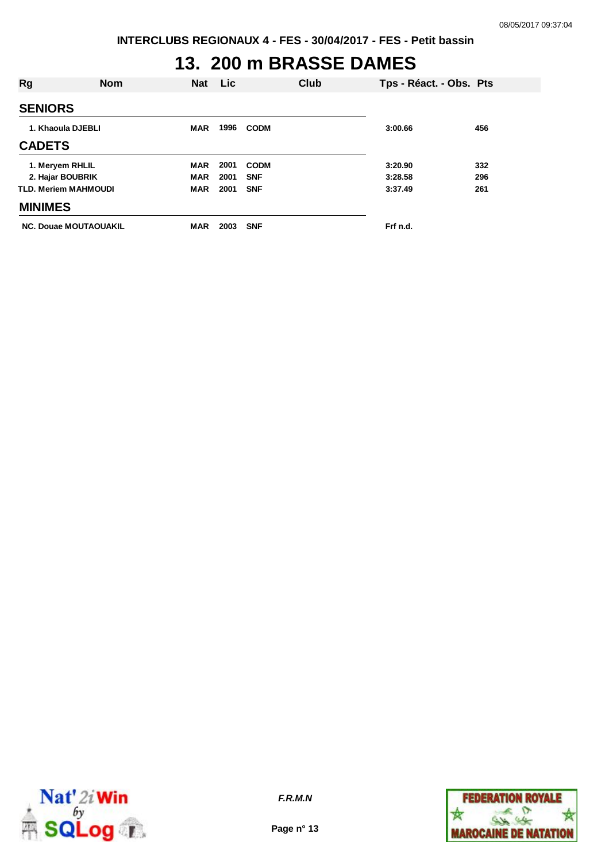#### **13. 200 m BRASSE DAMES**

| Rg             | <b>Nom</b>                   | <b>Nat</b> | <b>Lic</b> | Club        |          | Tps - Réact. - Obs. Pts |
|----------------|------------------------------|------------|------------|-------------|----------|-------------------------|
| <b>SENIORS</b> |                              |            |            |             |          |                         |
|                | 1. Khaoula DJEBLI            | <b>MAR</b> | 1996       | <b>CODM</b> | 3:00.66  | 456                     |
| <b>CADETS</b>  |                              |            |            |             |          |                         |
|                | 1. Meryem RHLIL              | <b>MAR</b> | 2001       | <b>CODM</b> | 3:20.90  | 332                     |
|                | 2. Hajar BOUBRIK             | <b>MAR</b> | 2001       | <b>SNF</b>  | 3:28.58  | 296                     |
|                | <b>TLD. Meriem MAHMOUDI</b>  | <b>MAR</b> | 2001       | <b>SNF</b>  | 3:37.49  | 261                     |
| <b>MINIMES</b> |                              |            |            |             |          |                         |
|                | <b>NC. Douae MOUTAOUAKIL</b> | <b>MAR</b> | 2003       | <b>SNF</b>  | Frf n.d. |                         |



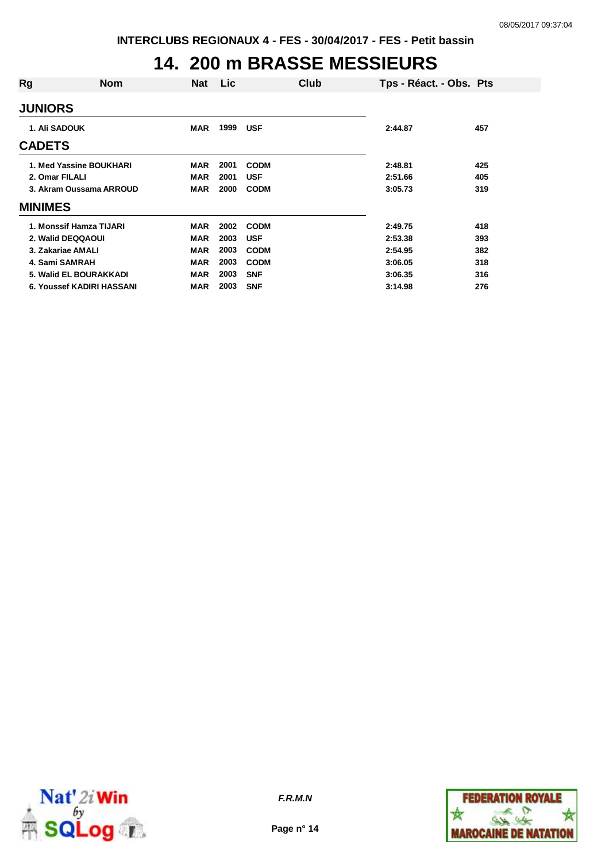## **14. 200 m BRASSE MESSIEURS**

| Rg                   | <b>Nom</b>                | <b>Nat</b> | <b>Lic</b> |             | Club | Tps - Réact. - Obs. Pts |     |
|----------------------|---------------------------|------------|------------|-------------|------|-------------------------|-----|
| <b>JUNIORS</b>       |                           |            |            |             |      |                         |     |
| <b>1. Ali SADOUK</b> |                           | <b>MAR</b> | 1999       | <b>USF</b>  |      | 2:44.87                 | 457 |
| <b>CADETS</b>        |                           |            |            |             |      |                         |     |
|                      | 1. Med Yassine BOUKHARI   | <b>MAR</b> | 2001       | <b>CODM</b> |      | 2:48.81                 | 425 |
| 2. Omar FILALI       |                           | MAR        | 2001       | <b>USF</b>  |      | 2:51.66                 | 405 |
|                      | 3. Akram Oussama ARROUD   |            | 2000       | <b>CODM</b> |      | 3:05.73                 | 319 |
| <b>MINIMES</b>       |                           |            |            |             |      |                         |     |
|                      | 1. Monssif Hamza TIJARI   | <b>MAR</b> | 2002       | <b>CODM</b> |      | 2:49.75                 | 418 |
|                      | 2. Walid DEQQAOUI         | <b>MAR</b> | 2003       | <b>USF</b>  |      | 2:53.38                 | 393 |
|                      | 3. Zakariae AMALI         | <b>MAR</b> | 2003       | <b>CODM</b> |      | 2:54.95                 | 382 |
| 4. Sami SAMRAH       |                           | <b>MAR</b> | 2003       | <b>CODM</b> |      | 3:06.05                 | 318 |
|                      | 5. Walid EL BOURAKKADI    | MAR        | 2003       | <b>SNF</b>  |      | 3:06.35                 | 316 |
|                      | 6. Youssef KADIRI HASSANI | MAR        | 2003       | <b>SNF</b>  |      | 3:14.98                 | 276 |



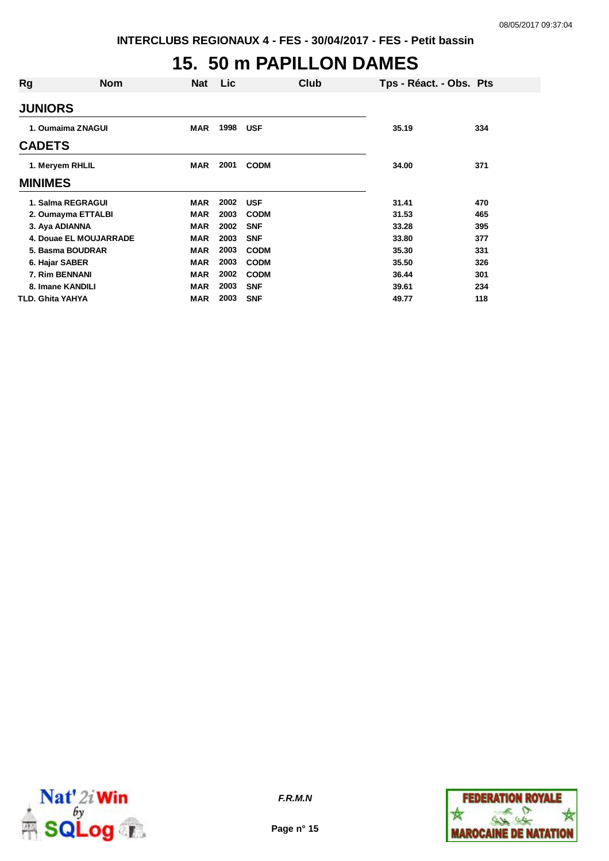#### **15. 50 m PAPILLON DAMES**

| Rg                 | <b>Nom</b>             | <b>Nat</b> | <b>Lic</b> | Club        | Tps - Réact. - Obs. Pts |     |
|--------------------|------------------------|------------|------------|-------------|-------------------------|-----|
| <b>JUNIORS</b>     |                        |            |            |             |                         |     |
| 1. Oumaima ZNAGUI  |                        | <b>MAR</b> | 1998       | <b>USF</b>  | 35.19                   | 334 |
| <b>CADETS</b>      |                        |            |            |             |                         |     |
| 1. Meryem RHLIL    |                        | <b>MAR</b> | 2001       | <b>CODM</b> | 34.00                   | 371 |
| <b>MINIMES</b>     |                        |            |            |             |                         |     |
| 1. Salma REGRAGUI  |                        | <b>MAR</b> | 2002       | <b>USF</b>  | 31.41                   | 470 |
| 2. Oumayma ETTALBI |                        | <b>MAR</b> | 2003       | <b>CODM</b> | 31.53                   | 465 |
| 3. Aya ADIANNA     |                        | <b>MAR</b> | 2002       | <b>SNF</b>  | 33.28                   | 395 |
|                    | 4. Douae EL MOUJARRADE | <b>MAR</b> | 2003       | <b>SNF</b>  | 33.80                   | 377 |
| 5. Basma BOUDRAR   |                        | <b>MAR</b> | 2003       | <b>CODM</b> | 35.30                   | 331 |
| 6. Hajar SABER     |                        | <b>MAR</b> | 2003       | <b>CODM</b> | 35.50                   | 326 |
| 7. Rim BENNANI     |                        | <b>MAR</b> | 2002       | <b>CODM</b> | 36.44                   | 301 |
| 8. Imane KANDILI   |                        | <b>MAR</b> | 2003       | <b>SNF</b>  | 39.61                   | 234 |
| TLD. Ghita YAHYA   |                        | <b>MAR</b> | 2003       | <b>SNF</b>  | 49.77                   | 118 |



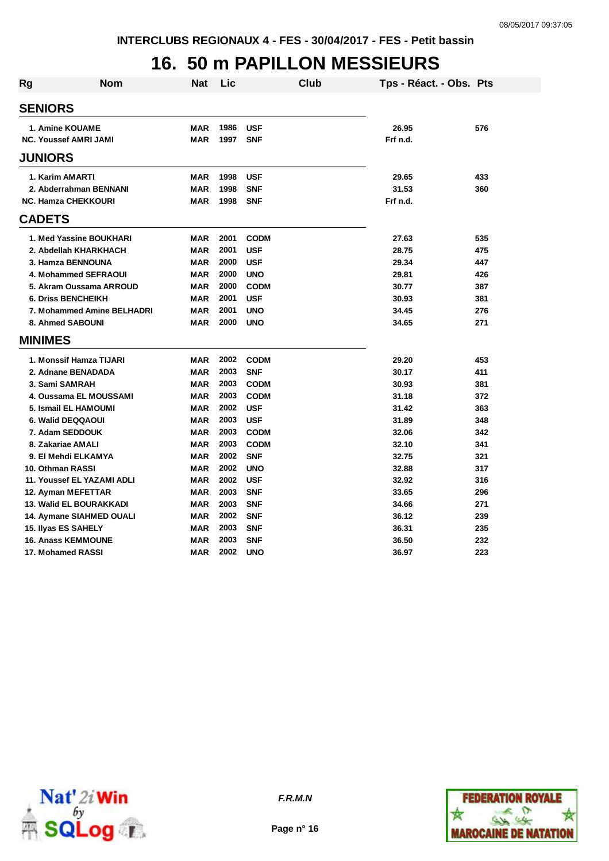# **16. 50 m PAPILLON MESSIEURS**

| <b>Rg</b>           | <b>Nom</b>                     | <b>Nat</b> | Lic  |             | <b>Club</b> | Tps - Réact. - Obs. Pts |     |
|---------------------|--------------------------------|------------|------|-------------|-------------|-------------------------|-----|
| <b>SENIORS</b>      |                                |            |      |             |             |                         |     |
|                     |                                |            |      |             |             |                         |     |
|                     | 1. Amine KOUAME                | <b>MAR</b> | 1986 | <b>USF</b>  |             | 26.95                   | 576 |
|                     | <b>NC. Youssef AMRI JAMI</b>   | <b>MAR</b> | 1997 | <b>SNF</b>  |             | Frf n.d.                |     |
| <b>JUNIORS</b>      |                                |            |      |             |             |                         |     |
| 1. Karim AMARTI     |                                | <b>MAR</b> | 1998 | <b>USF</b>  |             | 29.65                   | 433 |
|                     | 2. Abderrahman BENNANI         | <b>MAR</b> | 1998 | <b>SNF</b>  |             | 31.53                   | 360 |
|                     | <b>NC. Hamza CHEKKOURI</b>     | MAR        | 1998 | <b>SNF</b>  |             | Frf n.d.                |     |
| <b>CADETS</b>       |                                |            |      |             |             |                         |     |
|                     | 1. Med Yassine BOUKHARI        | <b>MAR</b> | 2001 | <b>CODM</b> |             | 27.63                   | 535 |
|                     | 2. Abdellah KHARKHACH          | <b>MAR</b> | 2001 | <b>USF</b>  |             | 28.75                   | 475 |
|                     | 3. Hamza BENNOUNA              | <b>MAR</b> | 2000 | <b>USF</b>  |             | 29.34                   | 447 |
|                     | 4. Mohammed SEFRAOUI           | <b>MAR</b> | 2000 | <b>UNO</b>  |             | 29.81                   | 426 |
|                     | 5. Akram Oussama ARROUD        | <b>MAR</b> | 2000 | <b>CODM</b> |             | 30.77                   | 387 |
|                     | <b>6. Driss BENCHEIKH</b>      | <b>MAR</b> | 2001 | <b>USF</b>  |             | 30.93                   | 381 |
|                     | 7. Mohammed Amine BELHADRI     | <b>MAR</b> | 2001 | <b>UNO</b>  |             | 34.45                   | 276 |
|                     | 8. Ahmed SABOUNI               | <b>MAR</b> | 2000 | <b>UNO</b>  |             | 34.65                   | 271 |
| <b>MINIMES</b>      |                                |            |      |             |             |                         |     |
|                     | 1. Monssif Hamza TIJARI        | <b>MAR</b> | 2002 | <b>CODM</b> |             | 29.20                   | 453 |
|                     | 2. Adnane BENADADA             | <b>MAR</b> | 2003 | <b>SNF</b>  |             | 30.17                   | 411 |
| 3. Sami SAMRAH      |                                | <b>MAR</b> | 2003 | <b>CODM</b> |             | 30.93                   | 381 |
|                     | 4. Oussama EL MOUSSAMI         | <b>MAR</b> | 2003 | <b>CODM</b> |             | 31.18                   | 372 |
|                     | 5. Ismail EL HAMOUMI           | <b>MAR</b> | 2002 | <b>USF</b>  |             | 31.42                   | 363 |
|                     | 6. Walid DEQQAOUI              | <b>MAR</b> | 2003 | <b>USF</b>  |             | 31.89                   | 348 |
|                     | 7. Adam SEDDOUK                | <b>MAR</b> | 2003 | <b>CODM</b> |             | 32.06                   | 342 |
| 8. Zakariae AMALI   |                                | <b>MAR</b> | 2003 | <b>CODM</b> |             | 32.10                   | 341 |
|                     | 9. El Mehdi ELKAMYA            | <b>MAR</b> | 2002 | <b>SNF</b>  |             | 32.75                   | 321 |
| 10. Othman RASSI    |                                | <b>MAR</b> | 2002 | <b>UNO</b>  |             | 32.88                   | 317 |
|                     | 11. Youssef EL YAZAMI ADLI     | <b>MAR</b> | 2002 | <b>USF</b>  |             | 32.92                   | 316 |
|                     | 12. Ayman MEFETTAR             | <b>MAR</b> | 2003 | <b>SNF</b>  |             | 33.65                   | 296 |
|                     | <b>13. Walid EL BOURAKKADI</b> | <b>MAR</b> | 2003 | <b>SNF</b>  |             | 34.66                   | 271 |
|                     | 14. Aymane SIAHMED OUALI       | <b>MAR</b> | 2002 | <b>SNF</b>  |             | 36.12                   | 239 |
| 15. Ilyas ES SAHELY |                                | <b>MAR</b> | 2003 | <b>SNF</b>  |             | 36.31                   | 235 |
|                     | <b>16. Anass KEMMOUNE</b>      | <b>MAR</b> | 2003 | <b>SNF</b>  |             | 36.50                   | 232 |
| 17. Mohamed RASSI   |                                | <b>MAR</b> | 2002 | <b>UNO</b>  |             | 36.97                   | 223 |





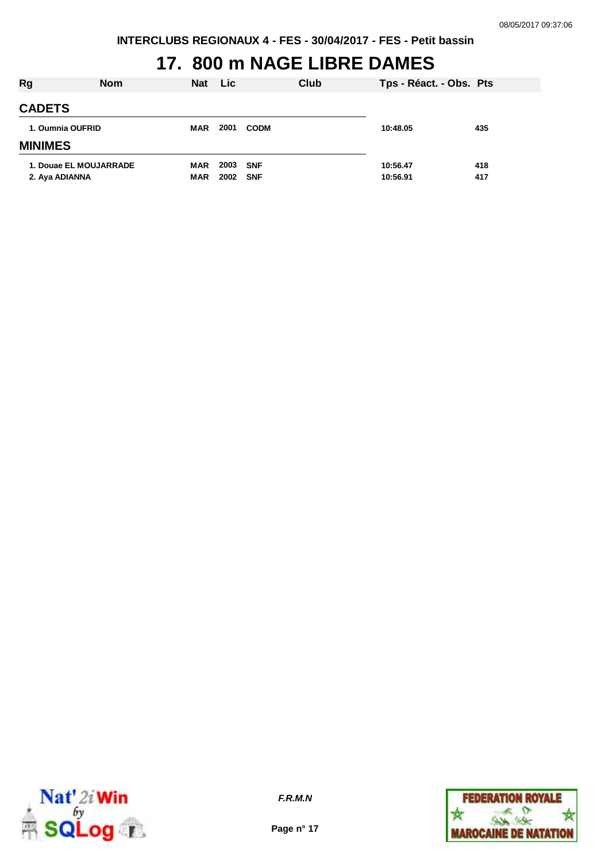# **17. 800 m NAGE LIBRE DAMES**

| Rg                     | <b>Nom</b> | <b>Nat</b> | <b>Lic</b> |             | Club | Tps - Réact. - Obs. Pts |     |
|------------------------|------------|------------|------------|-------------|------|-------------------------|-----|
| <b>CADETS</b>          |            |            |            |             |      |                         |     |
| 1. Oumnia OUFRID       |            | <b>MAR</b> | 2001       | <b>CODM</b> |      | 10:48.05                | 435 |
| <b>MINIMES</b>         |            |            |            |             |      |                         |     |
| 1. Douae EL MOUJARRADE |            | <b>MAR</b> | 2003       | <b>SNF</b>  |      | 10:56.47                | 418 |
| 2. Aya ADIANNA         |            | <b>MAR</b> | 2002       | <b>SNF</b>  |      | 10:56.91                | 417 |



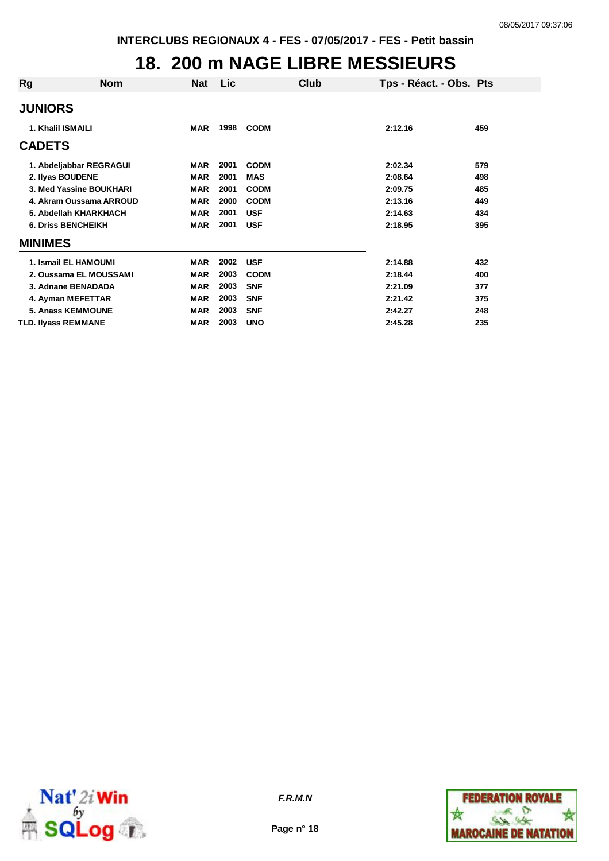### **18. 200 m NAGE LIBRE MESSIEURS**

| Rg                      | <b>Nom</b>                | Nat        | <b>Lic</b> |             | Club | Tps - Réact. - Obs. Pts |     |
|-------------------------|---------------------------|------------|------------|-------------|------|-------------------------|-----|
| <b>JUNIORS</b>          |                           |            |            |             |      |                         |     |
| 1. Khalil ISMAILI       |                           | <b>MAR</b> | 1998       | <b>CODM</b> |      | 2:12.16                 | 459 |
| <b>CADETS</b>           |                           |            |            |             |      |                         |     |
|                         | 1. Abdeljabbar REGRAGUI   | <b>MAR</b> | 2001       | <b>CODM</b> |      | 2:02.34                 | 579 |
| 2. Ilyas BOUDENE        |                           | <b>MAR</b> | 2001       | <b>MAS</b>  |      | 2:08.64                 | 498 |
| 3. Med Yassine BOUKHARI |                           | <b>MAR</b> | 2001       | <b>CODM</b> |      | 2:09.75                 | 485 |
|                         | 4. Akram Oussama ARROUD   | <b>MAR</b> | 2000       | <b>CODM</b> |      | 2:13.16                 | 449 |
|                         | 5. Abdellah KHARKHACH     | MAR        | 2001       | <b>USF</b>  |      | 2:14.63                 | 434 |
|                         | <b>6. Driss BENCHEIKH</b> | MAR        | 2001       | <b>USF</b>  |      | 2:18.95                 | 395 |
| <b>MINIMES</b>          |                           |            |            |             |      |                         |     |
|                         | 1. Ismail EL HAMOUMI      | <b>MAR</b> | 2002       | <b>USF</b>  |      | 2:14.88                 | 432 |
|                         | 2. Oussama EL MOUSSAMI    | <b>MAR</b> | 2003       | <b>CODM</b> |      | 2:18.44                 | 400 |
|                         | 3. Adnane BENADADA        | <b>MAR</b> | 2003       | <b>SNF</b>  |      | 2:21.09                 | 377 |
|                         | 4. Ayman MEFETTAR         | <b>MAR</b> | 2003       | <b>SNF</b>  |      | 2:21.42                 | 375 |
|                         | <b>5. Anass KEMMOUNE</b>  | <b>MAR</b> | 2003       | <b>SNF</b>  |      | 2:42.27                 | 248 |
| TLD. Ilyass REMMANE     |                           | MAR        | 2003       | <b>UNO</b>  |      | 2:45.28                 | 235 |



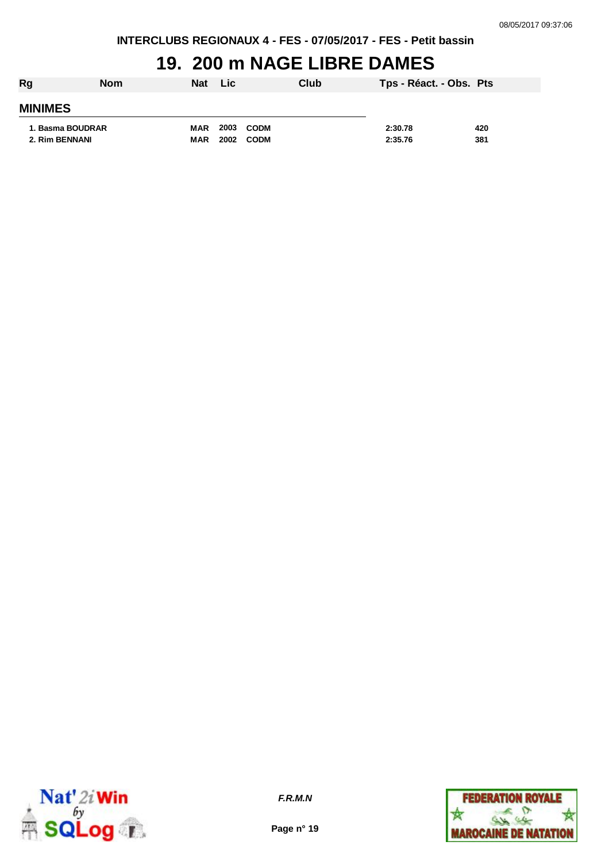### **19. 200 m NAGE LIBRE DAMES**

| Rg               | <b>Nom</b> | <b>Nat</b> | <b>Lic</b> | Club        | Tps - Réact. - Obs. Pts |     |
|------------------|------------|------------|------------|-------------|-------------------------|-----|
| <b>MINIMES</b>   |            |            |            |             |                         |     |
| 1. Basma BOUDRAR |            | MAR        |            | 2003 CODM   | 2:30.78                 | 420 |
| 2. Rim BENNANI   |            | <b>MAR</b> | 2002       | <b>CODM</b> | 2:35.76                 | 381 |



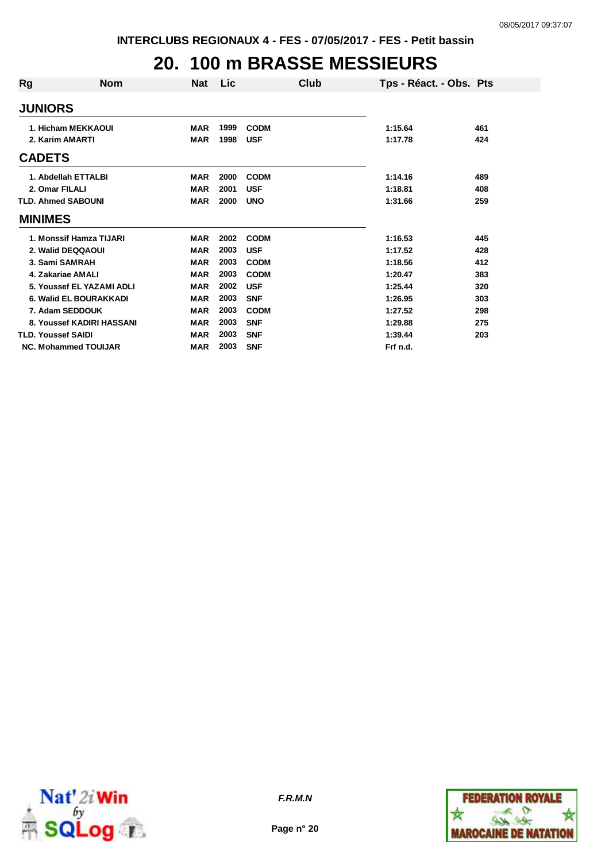# **20. 100 m BRASSE MESSIEURS**

| Rg                        | <b>Nom</b>                  | <b>Nat</b> | Lic  | Club        | Tps - Réact. - Obs. Pts |     |
|---------------------------|-----------------------------|------------|------|-------------|-------------------------|-----|
| <b>JUNIORS</b>            |                             |            |      |             |                         |     |
|                           | 1. Hicham MEKKAOUI          | <b>MAR</b> | 1999 | <b>CODM</b> | 1:15.64                 | 461 |
| 2. Karim AMARTI           |                             | <b>MAR</b> | 1998 | <b>USF</b>  | 1:17.78                 | 424 |
| <b>CADETS</b>             |                             |            |      |             |                         |     |
|                           | 1. Abdellah ETTALBI         | <b>MAR</b> | 2000 | <b>CODM</b> | 1:14.16                 | 489 |
| 2. Omar FILALI            |                             | <b>MAR</b> | 2001 | <b>USF</b>  | 1:18.81                 | 408 |
|                           | <b>TLD. Ahmed SABOUNI</b>   | <b>MAR</b> | 2000 | <b>UNO</b>  | 1:31.66                 | 259 |
| <b>MINIMES</b>            |                             |            |      |             |                         |     |
|                           | 1. Monssif Hamza TIJARI     | <b>MAR</b> | 2002 | <b>CODM</b> | 1:16.53                 | 445 |
|                           | 2. Walid DEQQAOUI           | <b>MAR</b> | 2003 | <b>USF</b>  | 1:17.52                 | 428 |
|                           | 3. Sami SAMRAH              | <b>MAR</b> | 2003 | <b>CODM</b> | 1:18.56                 | 412 |
|                           | 4. Zakariae AMALI           | <b>MAR</b> | 2003 | <b>CODM</b> | 1:20.47                 | 383 |
|                           | 5. Youssef EL YAZAMI ADLI   | <b>MAR</b> | 2002 | <b>USF</b>  | 1:25.44                 | 320 |
|                           | 6. Walid EL BOURAKKADI      | <b>MAR</b> | 2003 | <b>SNF</b>  | 1:26.95                 | 303 |
|                           | 7. Adam SEDDOUK             | <b>MAR</b> | 2003 | <b>CODM</b> | 1:27.52                 | 298 |
|                           | 8. Youssef KADIRI HASSANI   | <b>MAR</b> | 2003 | <b>SNF</b>  | 1:29.88                 | 275 |
| <b>TLD. Youssef SAIDI</b> |                             | <b>MAR</b> | 2003 | <b>SNF</b>  | 1:39.44                 | 203 |
|                           | <b>NC. Mohammed TOUIJAR</b> | <b>MAR</b> | 2003 | <b>SNF</b>  | Frf n.d.                |     |



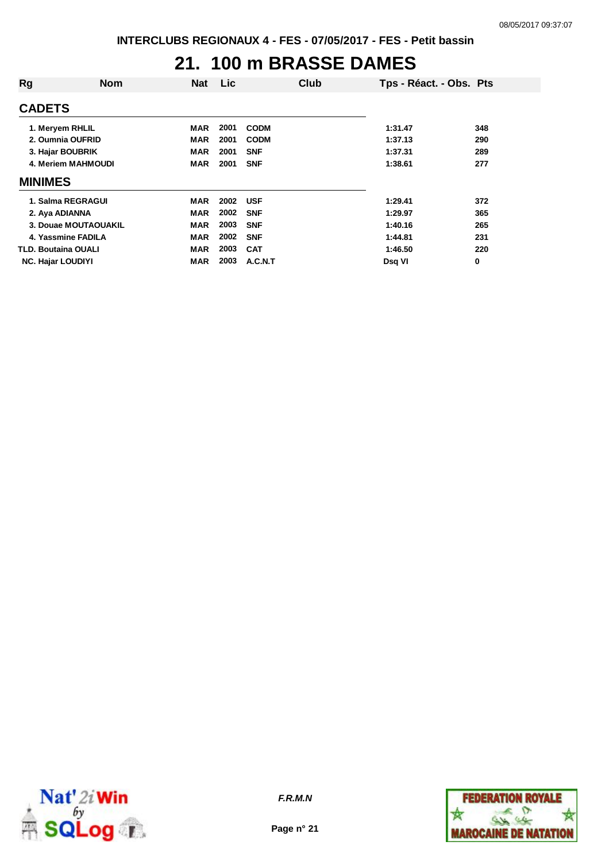#### **21. 100 m BRASSE DAMES**

| Rg                         | <b>Nom</b> | <b>Nat</b> | Lic  |             | Club | Tps - Réact. - Obs. Pts |     |
|----------------------------|------------|------------|------|-------------|------|-------------------------|-----|
| <b>CADETS</b>              |            |            |      |             |      |                         |     |
| 1. Meryem RHLIL            |            | <b>MAR</b> | 2001 | <b>CODM</b> |      | 1:31.47                 | 348 |
| 2. Oumnia OUFRID           |            | MAR        | 2001 | <b>CODM</b> |      | 1:37.13                 | 290 |
| 3. Hajar BOUBRIK           |            | <b>MAR</b> | 2001 | <b>SNF</b>  |      | 1:37.31                 | 289 |
| 4. Meriem MAHMOUDI         |            | <b>MAR</b> | 2001 | <b>SNF</b>  |      | 1:38.61                 | 277 |
| <b>MINIMES</b>             |            |            |      |             |      |                         |     |
| 1. Salma REGRAGUI          |            | <b>MAR</b> | 2002 | <b>USF</b>  |      | 1:29.41                 | 372 |
| 2. Aya ADIANNA             |            | <b>MAR</b> | 2002 | <b>SNF</b>  |      | 1:29.97                 | 365 |
| 3. Douae MOUTAOUAKIL       |            | <b>MAR</b> | 2003 | <b>SNF</b>  |      | 1:40.16                 | 265 |
| 4. Yassmine FADILA         |            | <b>MAR</b> | 2002 | <b>SNF</b>  |      | 1:44.81                 | 231 |
| <b>TLD. Boutaina OUALI</b> |            | <b>MAR</b> | 2003 | <b>CAT</b>  |      | 1:46.50                 | 220 |
| <b>NC. Hajar LOUDIYI</b>   |            | <b>MAR</b> | 2003 | A.C.N.T     |      | Dsg VI                  | 0   |



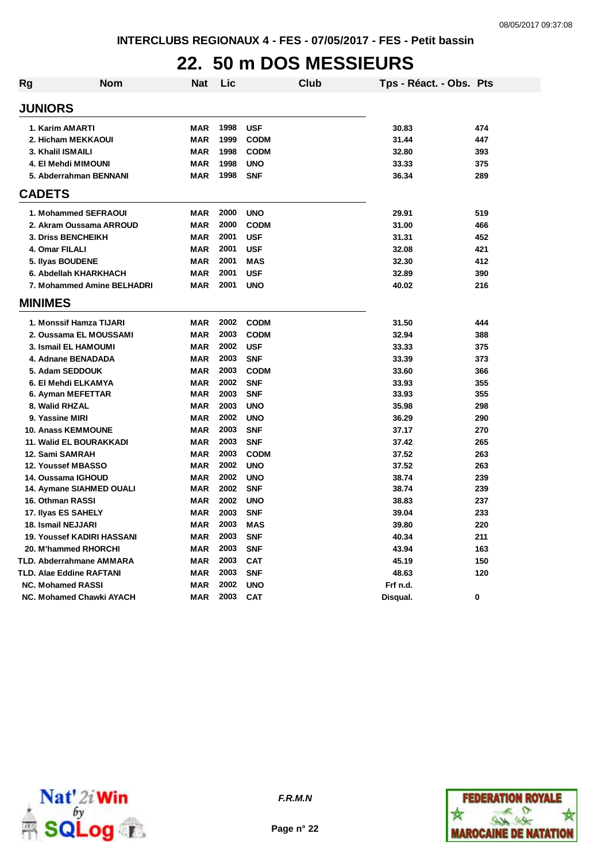## **22. 50 m DOS MESSIEURS**

| <b>Rg</b>      | Nom                               | <b>Nat</b> | Lic  |             | Club | Tps - Réact. - Obs. Pts |     |
|----------------|-----------------------------------|------------|------|-------------|------|-------------------------|-----|
| <b>JUNIORS</b> |                                   |            |      |             |      |                         |     |
|                | 1. Karim AMARTI                   | <b>MAR</b> | 1998 | <b>USF</b>  |      | 30.83                   | 474 |
|                | 2. Hicham MEKKAOUI                | <b>MAR</b> | 1999 | <b>CODM</b> |      | 31.44                   | 447 |
|                | 3. Khalil ISMAILI                 | <b>MAR</b> | 1998 | <b>CODM</b> |      | 32.80                   | 393 |
|                | 4. El Mehdi MIMOUNI               | <b>MAR</b> | 1998 | <b>UNO</b>  |      | 33.33                   | 375 |
|                | 5. Abderrahman BENNANI            | <b>MAR</b> | 1998 | <b>SNF</b>  |      | 36.34                   | 289 |
| <b>CADETS</b>  |                                   |            |      |             |      |                         |     |
|                | 1. Mohammed SEFRAOUI              | <b>MAR</b> | 2000 | <b>UNO</b>  |      | 29.91                   | 519 |
|                | 2. Akram Oussama ARROUD           | <b>MAR</b> | 2000 | <b>CODM</b> |      | 31.00                   | 466 |
|                | 3. Driss BENCHEIKH                | <b>MAR</b> | 2001 | <b>USF</b>  |      | 31.31                   | 452 |
|                | 4. Omar FILALI                    | <b>MAR</b> | 2001 | <b>USF</b>  |      | 32.08                   | 421 |
|                | 5. Ilyas BOUDENE                  | <b>MAR</b> | 2001 | <b>MAS</b>  |      | 32.30                   | 412 |
|                | 6. Abdellah KHARKHACH             | <b>MAR</b> | 2001 | <b>USF</b>  |      | 32.89                   | 390 |
|                | 7. Mohammed Amine BELHADRI        | <b>MAR</b> | 2001 | <b>UNO</b>  |      | 40.02                   | 216 |
| <b>MINIMES</b> |                                   |            |      |             |      |                         |     |
|                | 1. Monssif Hamza TIJARI           | <b>MAR</b> | 2002 | <b>CODM</b> |      | 31.50                   | 444 |
|                | 2. Oussama EL MOUSSAMI            | <b>MAR</b> | 2003 | <b>CODM</b> |      | 32.94                   | 388 |
|                | 3. Ismail EL HAMOUMI              | <b>MAR</b> | 2002 | <b>USF</b>  |      | 33.33                   | 375 |
|                | 4. Adnane BENADADA                | <b>MAR</b> | 2003 | <b>SNF</b>  |      | 33.39                   | 373 |
|                | 5. Adam SEDDOUK                   | <b>MAR</b> | 2003 | <b>CODM</b> |      | 33.60                   | 366 |
|                | 6. El Mehdi ELKAMYA               | <b>MAR</b> | 2002 | <b>SNF</b>  |      | 33.93                   | 355 |
|                | 6. Ayman MEFETTAR                 | <b>MAR</b> | 2003 | <b>SNF</b>  |      | 33.93                   | 355 |
|                | 8. Walid RHZAL                    | <b>MAR</b> | 2003 | <b>UNO</b>  |      | 35.98                   | 298 |
|                | 9. Yassine MIRI                   | <b>MAR</b> | 2002 | <b>UNO</b>  |      | 36.29                   | 290 |
|                | <b>10. Anass KEMMOUNE</b>         | <b>MAR</b> | 2003 | <b>SNF</b>  |      | 37.17                   | 270 |
|                | 11. Walid EL BOURAKKADI           | <b>MAR</b> | 2003 | <b>SNF</b>  |      | 37.42                   | 265 |
|                | 12. Sami SAMRAH                   | <b>MAR</b> | 2003 | <b>CODM</b> |      | 37.52                   | 263 |
|                | 12. Youssef MBASSO                | <b>MAR</b> | 2002 | <b>UNO</b>  |      | 37.52                   | 263 |
|                | 14. Oussama IGHOUD                | <b>MAR</b> | 2002 | <b>UNO</b>  |      | 38.74                   | 239 |
|                | 14. Aymane SIAHMED OUALI          | <b>MAR</b> | 2002 | <b>SNF</b>  |      | 38.74                   | 239 |
|                | 16. Othman RASSI                  | <b>MAR</b> | 2002 | <b>UNO</b>  |      | 38.83                   | 237 |
|                | 17. Ilyas ES SAHELY               | <b>MAR</b> | 2003 | <b>SNF</b>  |      | 39.04                   | 233 |
|                | 18. Ismail NEJJARI                | <b>MAR</b> | 2003 | <b>MAS</b>  |      | 39.80                   | 220 |
|                | <b>19. Youssef KADIRI HASSANI</b> | <b>MAR</b> | 2003 | <b>SNF</b>  |      | 40.34                   | 211 |
|                | 20. M'hammed RHORCHI              | <b>MAR</b> | 2003 | <b>SNF</b>  |      | 43.94                   | 163 |
|                | TLD. Abderrahmane AMMARA          | <b>MAR</b> | 2003 | <b>CAT</b>  |      | 45.19                   | 150 |
|                | <b>TLD. Alae Eddine RAFTANI</b>   | <b>MAR</b> | 2003 | <b>SNF</b>  |      | 48.63                   | 120 |
|                | <b>NC. Mohamed RASSI</b>          | <b>MAR</b> | 2002 | <b>UNO</b>  |      | Frf n.d.                |     |
|                | NC. Mohamed Chawki AYACH          | <b>MAR</b> | 2003 | <b>CAT</b>  |      | Disqual.                | 0   |



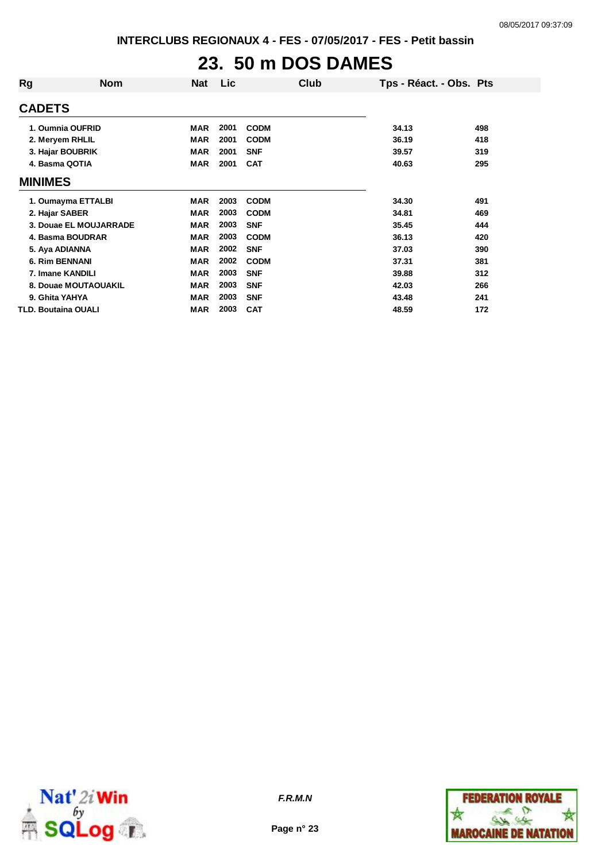# **23. 50 m DOS DAMES**

| Rg                         | <b>Nom</b>             | <b>Nat</b> | Lic  |             | Club | Tps - Réact. - Obs. Pts |     |
|----------------------------|------------------------|------------|------|-------------|------|-------------------------|-----|
| <b>CADETS</b>              |                        |            |      |             |      |                         |     |
|                            | 1. Oumnia OUFRID       | <b>MAR</b> | 2001 | <b>CODM</b> |      | 34.13                   | 498 |
| 2. Meryem RHLIL            |                        | <b>MAR</b> | 2001 | <b>CODM</b> |      | 36.19                   | 418 |
|                            | 3. Hajar BOUBRIK       | <b>MAR</b> | 2001 | <b>SNF</b>  |      | 39.57                   | 319 |
| 4. Basma QOTIA             |                        | <b>MAR</b> | 2001 | <b>CAT</b>  |      | 40.63                   | 295 |
| <b>MINIMES</b>             |                        |            |      |             |      |                         |     |
|                            | 1. Oumayma ETTALBI     | <b>MAR</b> | 2003 | <b>CODM</b> |      | 34.30                   | 491 |
| 2. Hajar SABER             |                        | <b>MAR</b> | 2003 | <b>CODM</b> |      | 34.81                   | 469 |
|                            | 3. Douae EL MOUJARRADE | <b>MAR</b> | 2003 | <b>SNF</b>  |      | 35.45                   | 444 |
|                            | 4. Basma BOUDRAR       | <b>MAR</b> | 2003 | <b>CODM</b> |      | 36.13                   | 420 |
| 5. Aya ADIANNA             |                        | <b>MAR</b> | 2002 | <b>SNF</b>  |      | 37.03                   | 390 |
| <b>6. Rim BENNANI</b>      |                        | <b>MAR</b> | 2002 | <b>CODM</b> |      | 37.31                   | 381 |
| 7. Imane KANDILI           |                        | <b>MAR</b> | 2003 | <b>SNF</b>  |      | 39.88                   | 312 |
|                            | 8. Douae MOUTAOUAKIL   | <b>MAR</b> | 2003 | <b>SNF</b>  |      | 42.03                   | 266 |
| 9. Ghita YAHYA             |                        | <b>MAR</b> | 2003 | <b>SNF</b>  |      | 43.48                   | 241 |
| <b>TLD. Boutaina OUALI</b> |                        | <b>MAR</b> | 2003 | <b>CAT</b>  |      | 48.59                   | 172 |



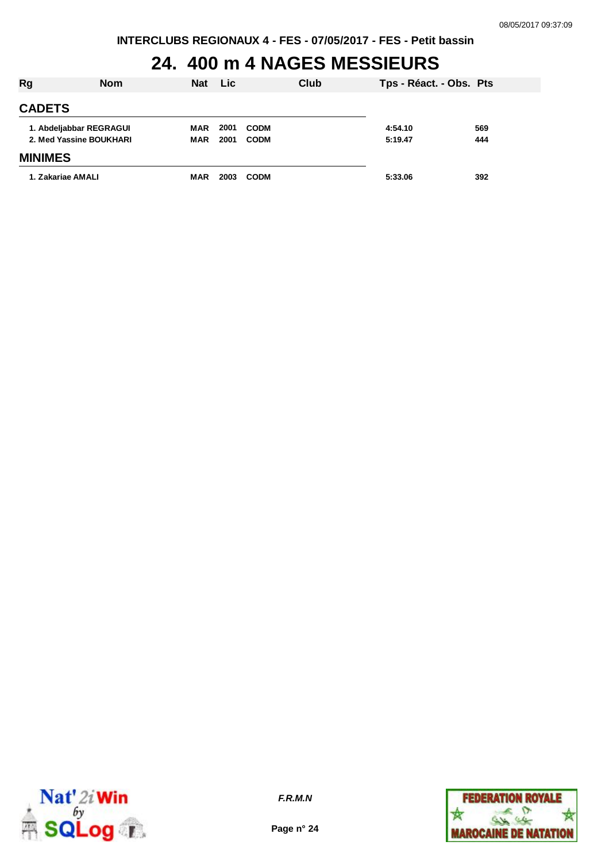# **24. 400 m 4 NAGES MESSIEURS**

| Rg                      | <b>Nom</b> | <b>Nat</b> | Lic  |             | Club | Tps - Réact. - Obs. Pts |     |
|-------------------------|------------|------------|------|-------------|------|-------------------------|-----|
| <b>CADETS</b>           |            |            |      |             |      |                         |     |
| 1. Abdeljabbar REGRAGUI |            | <b>MAR</b> | 2001 | <b>CODM</b> |      | 4:54.10                 | 569 |
| 2. Med Yassine BOUKHARI |            | <b>MAR</b> | 2001 | <b>CODM</b> |      | 5:19.47                 | 444 |
| <b>MINIMES</b>          |            |            |      |             |      |                         |     |
| 1. Zakariae AMALI       |            | <b>MAR</b> | 2003 | <b>CODM</b> |      | 5:33.06                 | 392 |



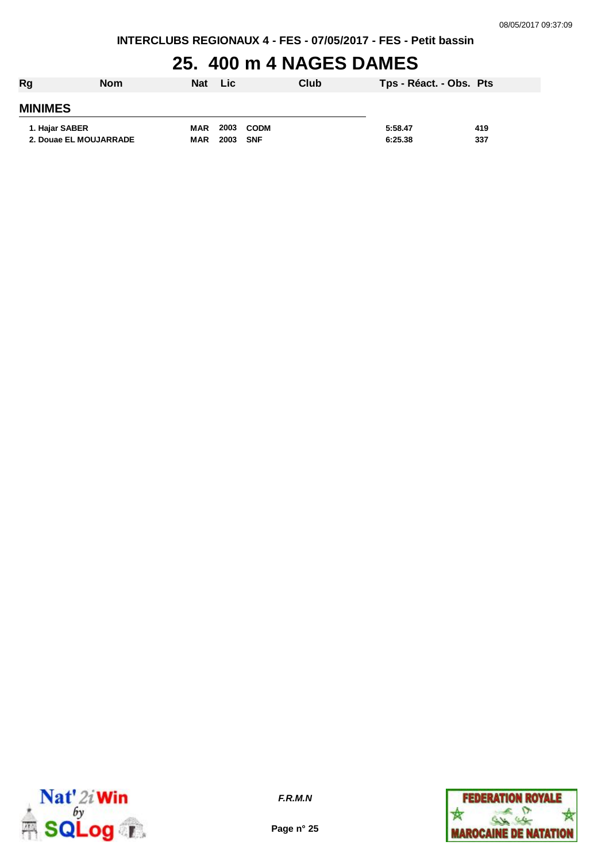#### **25. 400 m 4 NAGES DAMES**

| Rg                     | <b>Nom</b> | <b>Nat</b> | <b>Lic</b> |             | Club | Tps - Réact. - Obs. Pts |     |
|------------------------|------------|------------|------------|-------------|------|-------------------------|-----|
| <b>MINIMES</b>         |            |            |            |             |      |                         |     |
| 1. Hajar SABER         |            | <b>MAR</b> | 2003       | <b>CODM</b> |      | 5:58.47                 | 419 |
| 2. Douae EL MOUJARRADE |            | <b>MAR</b> | 2003       | <b>SNF</b>  |      | 6:25.38                 | 337 |



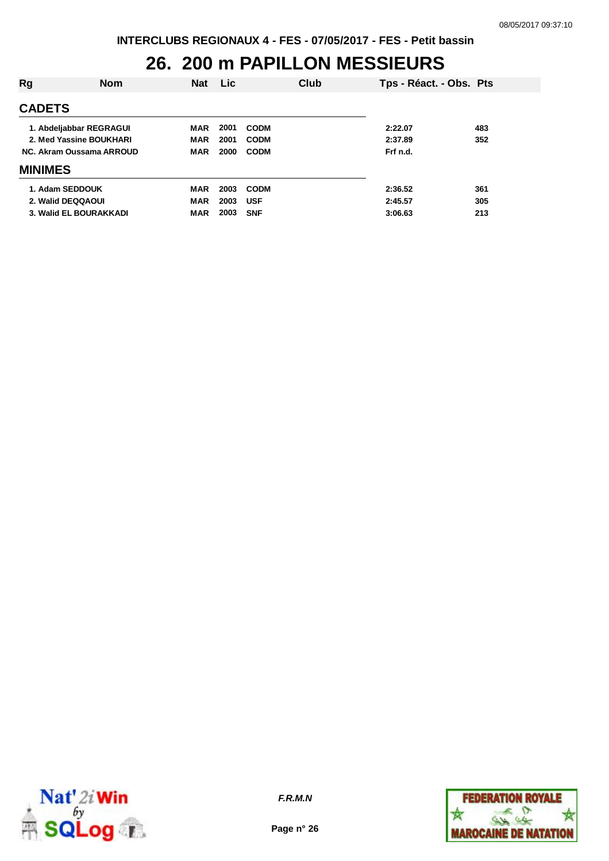### **26. 200 m PAPILLON MESSIEURS**

| Rg                       | <b>Nom</b> | <b>Nat</b> | <b>Lic</b> |             | Club | Tps - Réact. - Obs. Pts |     |
|--------------------------|------------|------------|------------|-------------|------|-------------------------|-----|
| <b>CADETS</b>            |            |            |            |             |      |                         |     |
| 1. Abdeljabbar REGRAGUI  |            | <b>MAR</b> | 2001       | <b>CODM</b> |      | 2:22.07                 | 483 |
| 2. Med Yassine BOUKHARI  |            | <b>MAR</b> | 2001       | <b>CODM</b> |      | 2:37.89                 | 352 |
| NC. Akram Oussama ARROUD |            | <b>MAR</b> | 2000       | <b>CODM</b> |      | Frf n.d.                |     |
| <b>MINIMES</b>           |            |            |            |             |      |                         |     |
| 1. Adam SEDDOUK          |            | MAR        | 2003       | <b>CODM</b> |      | 2:36.52                 | 361 |
| 2. Walid DEQQAOUI        |            | <b>MAR</b> | 2003       | <b>USF</b>  |      | 2:45.57                 | 305 |
| 3. Walid EL BOURAKKADI   |            | <b>MAR</b> | 2003       | <b>SNF</b>  |      | 3:06.63                 | 213 |



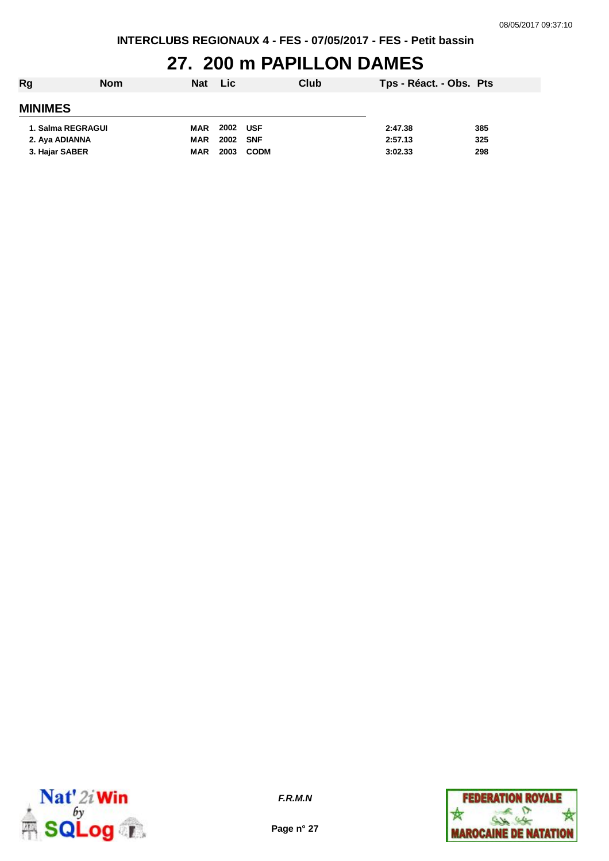### **27. 200 m PAPILLON DAMES**

| Rg                | <b>Nom</b> | Nat        | <b>Lic</b> |             | Club | Tps - Réact. - Obs. Pts |     |
|-------------------|------------|------------|------------|-------------|------|-------------------------|-----|
| <b>MINIMES</b>    |            |            |            |             |      |                         |     |
| 1. Salma REGRAGUI |            | MAR        | 2002 USF   |             |      | 2:47.38                 | 385 |
| 2. Aya ADIANNA    |            | <b>MAR</b> | 2002 SNF   |             |      | 2:57.13                 | 325 |
| 3. Hajar SABER    |            | <b>MAR</b> | 2003       | <b>CODM</b> |      | 3:02.33                 | 298 |



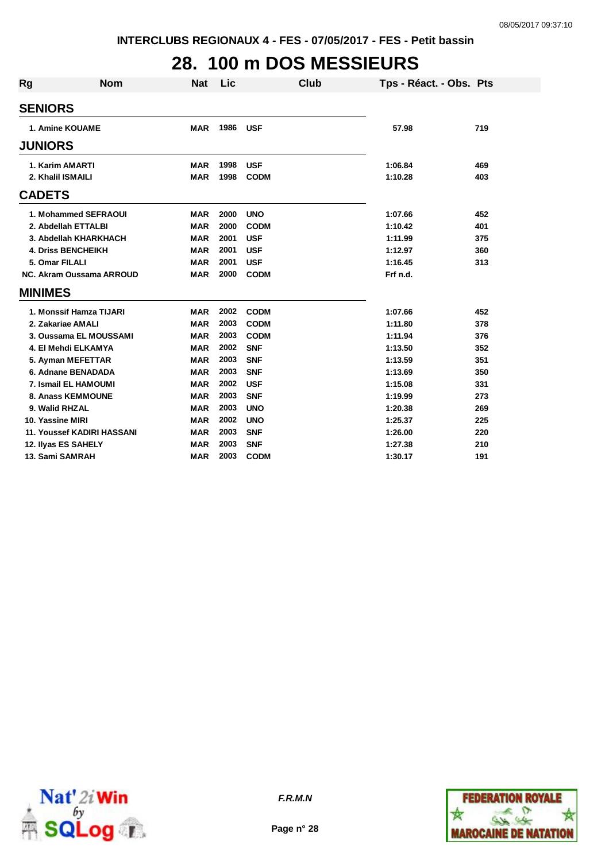# **28. 100 m DOS MESSIEURS**

| Rg               | <b>Nom</b>                        | <b>Nat</b> | Lic  | <b>Club</b> | Tps - Réact. - Obs. Pts |     |
|------------------|-----------------------------------|------------|------|-------------|-------------------------|-----|
|                  |                                   |            |      |             |                         |     |
| <b>SENIORS</b>   |                                   |            |      |             |                         |     |
|                  | 1. Amine KOUAME                   | <b>MAR</b> | 1986 | <b>USF</b>  | 57.98                   | 719 |
| <b>JUNIORS</b>   |                                   |            |      |             |                         |     |
|                  | 1. Karim AMARTI                   | <b>MAR</b> | 1998 | <b>USF</b>  | 1:06.84                 | 469 |
|                  | 2. Khalil ISMAILI                 | <b>MAR</b> | 1998 | <b>CODM</b> | 1:10.28                 | 403 |
| <b>CADETS</b>    |                                   |            |      |             |                         |     |
|                  | 1. Mohammed SEFRAOUI              | <b>MAR</b> | 2000 | <b>UNO</b>  | 1:07.66                 | 452 |
|                  | 2. Abdellah ETTALBI               | <b>MAR</b> | 2000 | <b>CODM</b> | 1:10.42                 | 401 |
|                  | 3. Abdellah KHARKHACH             | <b>MAR</b> | 2001 | <b>USF</b>  | 1:11.99                 | 375 |
|                  | <b>4. Driss BENCHEIKH</b>         | <b>MAR</b> | 2001 | <b>USF</b>  | 1:12.97                 | 360 |
|                  | 5. Omar FILALI                    | <b>MAR</b> | 2001 | <b>USF</b>  | 1:16.45                 | 313 |
|                  | <b>NC. Akram Oussama ARROUD</b>   | <b>MAR</b> | 2000 | <b>CODM</b> | Frf n.d.                |     |
| <b>MINIMES</b>   |                                   |            |      |             |                         |     |
|                  | 1. Monssif Hamza TIJARI           | <b>MAR</b> | 2002 | <b>CODM</b> | 1:07.66                 | 452 |
|                  | 2. Zakariae AMALI                 | <b>MAR</b> | 2003 | <b>CODM</b> | 1:11.80                 | 378 |
|                  | 3. Oussama EL MOUSSAMI            | <b>MAR</b> | 2003 | <b>CODM</b> | 1:11.94                 | 376 |
|                  | 4. El Mehdi ELKAMYA               | <b>MAR</b> | 2002 | <b>SNF</b>  | 1:13.50                 | 352 |
|                  | 5. Ayman MEFETTAR                 | <b>MAR</b> | 2003 | <b>SNF</b>  | 1:13.59                 | 351 |
|                  | 6. Adnane BENADADA                | <b>MAR</b> | 2003 | <b>SNF</b>  | 1:13.69                 | 350 |
|                  | 7. Ismail EL HAMOUMI              | <b>MAR</b> | 2002 | <b>USF</b>  | 1:15.08                 | 331 |
|                  | 8. Anass KEMMOUNE                 | <b>MAR</b> | 2003 | <b>SNF</b>  | 1:19.99                 | 273 |
|                  | 9. Walid RHZAL                    | <b>MAR</b> | 2003 | <b>UNO</b>  | 1:20.38                 | 269 |
| 10. Yassine MIRI |                                   | <b>MAR</b> | 2002 | <b>UNO</b>  | 1:25.37                 | 225 |
|                  | <b>11. Youssef KADIRI HASSANI</b> | <b>MAR</b> | 2003 | <b>SNF</b>  | 1:26.00                 | 220 |
|                  | 12. Ilyas ES SAHELY               | <b>MAR</b> | 2003 | <b>SNF</b>  | 1:27.38                 | 210 |
|                  | 13. Sami SAMRAH                   | <b>MAR</b> | 2003 | <b>CODM</b> | 1:30.17                 | 191 |



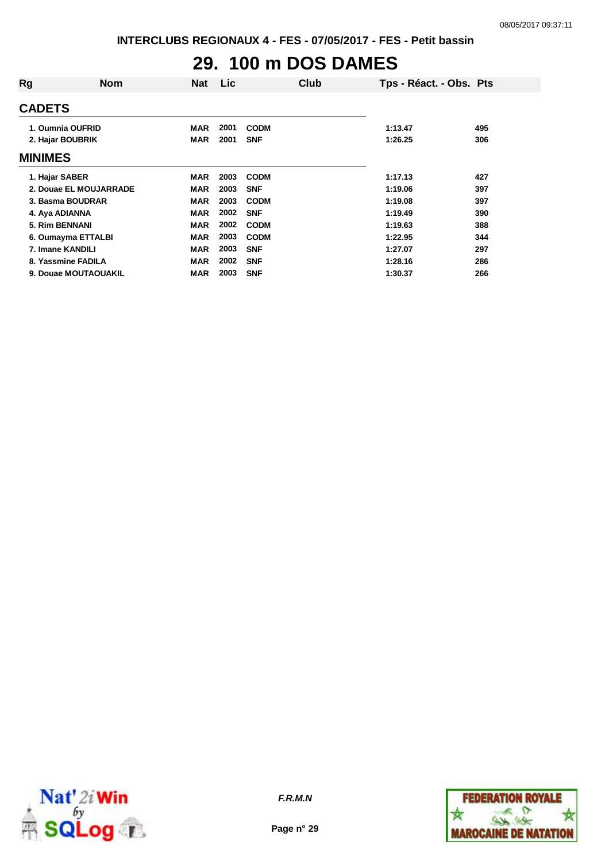# **29. 100 m DOS DAMES**

| Rg             | <b>Nom</b>             | Nat        | <b>Lic</b> |             | Club | Tps - Réact. - Obs. Pts |     |
|----------------|------------------------|------------|------------|-------------|------|-------------------------|-----|
| <b>CADETS</b>  |                        |            |            |             |      |                         |     |
|                | 1. Oumnia OUFRID       | MAR        | 2001       | <b>CODM</b> |      | 1:13.47                 | 495 |
|                | 2. Hajar BOUBRIK       | <b>MAR</b> | 2001       | <b>SNF</b>  |      | 1:26.25                 | 306 |
| <b>MINIMES</b> |                        |            |            |             |      |                         |     |
|                | 1. Hajar SABER         | <b>MAR</b> | 2003       | <b>CODM</b> |      | 1:17.13                 | 427 |
|                | 2. Douae EL MOUJARRADE | <b>MAR</b> | 2003       | <b>SNF</b>  |      | 1:19.06                 | 397 |
|                | 3. Basma BOUDRAR       | <b>MAR</b> | 2003       | <b>CODM</b> |      | 1:19.08                 | 397 |
|                | 4. Aya ADIANNA         | <b>MAR</b> | 2002       | <b>SNF</b>  |      | 1:19.49                 | 390 |
|                | 5. Rim BENNANI         | <b>MAR</b> | 2002       | <b>CODM</b> |      | 1:19.63                 | 388 |
|                | 6. Oumayma ETTALBI     | <b>MAR</b> | 2003       | <b>CODM</b> |      | 1:22.95                 | 344 |
|                | 7. Imane KANDILI       | <b>MAR</b> | 2003       | <b>SNF</b>  |      | 1:27.07                 | 297 |
|                | 8. Yassmine FADILA     | <b>MAR</b> | 2002       | <b>SNF</b>  |      | 1:28.16                 | 286 |
|                | 9. Douae MOUTAOUAKIL   | <b>MAR</b> | 2003       | <b>SNF</b>  |      | 1:30.37                 | 266 |



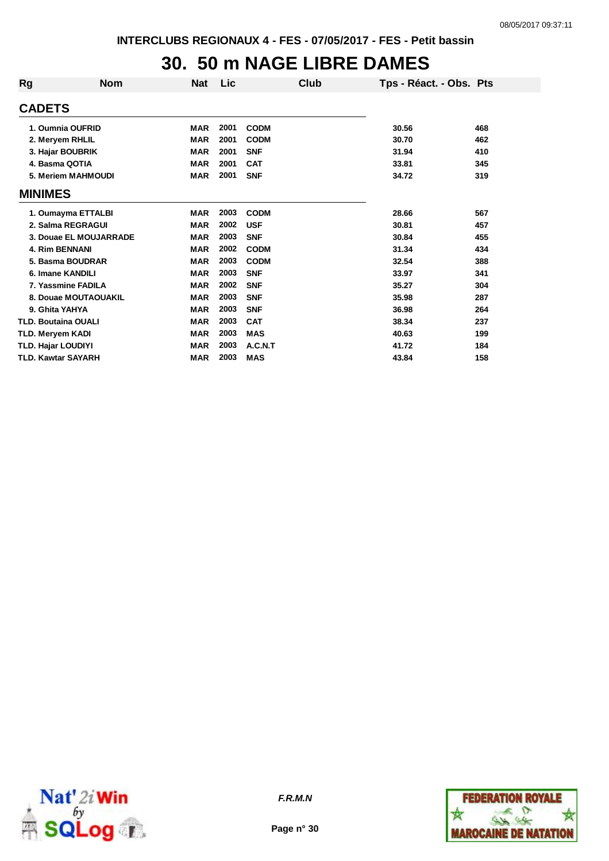## **30. 50 m NAGE LIBRE DAMES**

| <b>Rg</b>                  | <b>Nom</b>             | <b>Nat</b> | Lic  | Club        | Tps - Réact. - Obs. Pts |     |
|----------------------------|------------------------|------------|------|-------------|-------------------------|-----|
| <b>CADETS</b>              |                        |            |      |             |                         |     |
|                            | 1. Oumnia OUFRID       | <b>MAR</b> | 2001 | <b>CODM</b> | 30.56                   | 468 |
| 2. Meryem RHLIL            |                        | <b>MAR</b> | 2001 | <b>CODM</b> | 30.70                   | 462 |
| 3. Hajar BOUBRIK           |                        | <b>MAR</b> | 2001 | <b>SNF</b>  | 31.94                   | 410 |
| 4. Basma QOTIA             |                        | <b>MAR</b> | 2001 | <b>CAT</b>  | 33.81                   | 345 |
|                            | 5. Meriem MAHMOUDI     | <b>MAR</b> | 2001 | <b>SNF</b>  | 34.72                   | 319 |
| <b>MINIMES</b>             |                        |            |      |             |                         |     |
|                            | 1. Oumayma ETTALBI     | <b>MAR</b> | 2003 | <b>CODM</b> | 28.66                   | 567 |
|                            | 2. Salma REGRAGUI      | <b>MAR</b> | 2002 | <b>USF</b>  | 30.81                   | 457 |
|                            | 3. Douae EL MOUJARRADE | <b>MAR</b> | 2003 | <b>SNF</b>  | 30.84                   | 455 |
| <b>4. Rim BENNANI</b>      |                        | <b>MAR</b> | 2002 | <b>CODM</b> | 31.34                   | 434 |
|                            | 5. Basma BOUDRAR       | <b>MAR</b> | 2003 | <b>CODM</b> | 32.54                   | 388 |
| 6. Imane KANDILI           |                        | <b>MAR</b> | 2003 | <b>SNF</b>  | 33.97                   | 341 |
|                            | 7. Yassmine FADILA     | <b>MAR</b> | 2002 | <b>SNF</b>  | 35.27                   | 304 |
|                            | 8. Douae MOUTAOUAKIL   | <b>MAR</b> | 2003 | <b>SNF</b>  | 35.98                   | 287 |
| 9. Ghita YAHYA             |                        | <b>MAR</b> | 2003 | <b>SNF</b>  | 36.98                   | 264 |
| <b>TLD. Boutaina OUALI</b> |                        | <b>MAR</b> | 2003 | <b>CAT</b>  | 38.34                   | 237 |
| TLD. Meryem KADI           |                        | <b>MAR</b> | 2003 | <b>MAS</b>  | 40.63                   | 199 |
| <b>TLD. Hajar LOUDIYI</b>  |                        | <b>MAR</b> | 2003 | A.C.N.T     | 41.72                   | 184 |
| <b>TLD. Kawtar SAYARH</b>  |                        | <b>MAR</b> | 2003 | <b>MAS</b>  | 43.84                   | 158 |



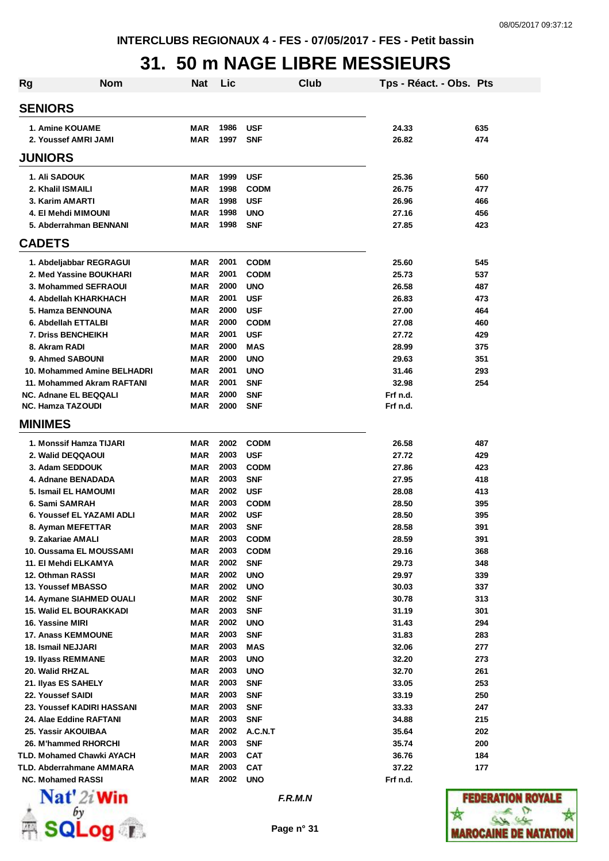## **31. 50 m NAGE LIBRE MESSIEURS**

| <b>Rg</b> | <b>Nom</b>                                                | <b>Nat</b> | Lic          |                            | <b>Club</b> | Tps - Réact. - Obs. Pts |            |
|-----------|-----------------------------------------------------------|------------|--------------|----------------------------|-------------|-------------------------|------------|
|           | <b>SENIORS</b>                                            |            |              |                            |             |                         |            |
|           | 1. Amine KOUAME                                           | MAR        | 1986         | <b>USF</b>                 |             | 24.33                   | 635        |
|           | 2. Youssef AMRI JAMI                                      | MAR        | 1997         | <b>SNF</b>                 |             | 26.82                   | 474        |
|           | <b>JUNIORS</b>                                            |            |              |                            |             |                         |            |
|           | 1. Ali SADOUK                                             | MAR        | 1999         | <b>USF</b>                 |             | 25.36                   | 560        |
|           | 2. Khalil ISMAILI                                         | MAR        | 1998         | <b>CODM</b>                |             | 26.75                   | 477        |
|           | 3. Karim AMARTI<br>4. El Mehdi MIMOUNI                    | MAR<br>MAR | 1998<br>1998 | <b>USF</b><br><b>UNO</b>   |             | 26.96<br>27.16          | 466<br>456 |
|           | 5. Abderrahman BENNANI                                    | MAR        | 1998         | <b>SNF</b>                 |             | 27.85                   | 423        |
|           | <b>CADETS</b>                                             |            |              |                            |             |                         |            |
|           | 1. Abdeljabbar REGRAGUI                                   | MAR        | 2001         | <b>CODM</b>                |             | 25.60                   | 545        |
|           | 2. Med Yassine BOUKHARI                                   | MAR        | 2001         | <b>CODM</b>                |             | 25.73                   | 537        |
|           | 3. Mohammed SEFRAOUI                                      | MAR        | 2000         | <b>UNO</b>                 |             | 26.58                   | 487        |
|           | 4. Abdellah KHARKHACH                                     | MAR        | 2001         | <b>USF</b>                 |             | 26.83                   | 473        |
|           | 5. Hamza BENNOUNA                                         | <b>MAR</b> | 2000         | <b>USF</b>                 |             | 27.00                   | 464        |
|           | 6. Abdellah ETTALBI                                       | <b>MAR</b> | 2000         | <b>CODM</b>                |             | 27.08                   | 460        |
|           | <b>7. Driss BENCHEIKH</b>                                 | <b>MAR</b> | 2001         | <b>USF</b>                 |             | 27.72                   | 429        |
|           | 8. Akram RADI                                             | <b>MAR</b> | 2000         | <b>MAS</b>                 |             | 28.99                   | 375        |
|           | 9. Ahmed SABOUNI                                          | <b>MAR</b> | 2000         | <b>UNO</b>                 |             | 29.63                   | 351        |
|           | 10. Mohammed Amine BELHADRI<br>11. Mohammed Akram RAFTANI | MAR<br>MAR | 2001<br>2001 | <b>UNO</b><br><b>SNF</b>   |             | 31.46<br>32.98          | 293<br>254 |
|           | <b>NC. Adnane EL BEQQALI</b>                              | MAR        | 2000         | <b>SNF</b>                 |             | Frf n.d.                |            |
|           | <b>NC. Hamza TAZOUDI</b>                                  | MAR        | 2000         | <b>SNF</b>                 |             | Frf n.d.                |            |
|           | <b>MINIMES</b>                                            |            |              |                            |             |                         |            |
|           | 1. Monssif Hamza TIJARI                                   | <b>MAR</b> | 2002         | <b>CODM</b>                |             | 26.58                   | 487        |
|           | 2. Walid DEQQAOUI                                         | MAR        | 2003         | <b>USF</b>                 |             | 27.72                   | 429        |
|           | 3. Adam SEDDOUK                                           | MAR        | 2003         | <b>CODM</b>                |             | 27.86                   | 423        |
|           | 4. Adnane BENADADA                                        | MAR        | 2003         | <b>SNF</b>                 |             | 27.95                   | 418        |
|           | 5. Ismail EL HAMOUMI                                      | <b>MAR</b> | 2002         | <b>USF</b>                 |             | 28.08                   | 413        |
|           | 6. Sami SAMRAH                                            | MAR        | 2003         | <b>CODM</b>                |             | 28.50                   | 395        |
|           | 6. Youssef EL YAZAMI ADLI                                 | MAR        | 2002         | <b>USF</b>                 |             | 28.50                   | 395        |
|           | 8. Ayman MEFETTAR                                         | MAR        | 2003         | <b>SNF</b>                 |             | 28.58                   | 391        |
|           | 9. Zakariae AMALI<br>10. Oussama EL MOUSSAMI              | MAR<br>MAR | 2003<br>2003 | <b>CODM</b><br><b>CODM</b> |             | 28.59<br>29.16          | 391<br>368 |
|           | 11. El Mehdi ELKAMYA                                      | MAR        | 2002         | <b>SNF</b>                 |             | 29.73                   | 348        |
|           | 12. Othman RASSI                                          | MAR        | 2002         | <b>UNO</b>                 |             | 29.97                   | 339        |
|           | 13. Youssef MBASSO                                        | MAR        | 2002         | <b>UNO</b>                 |             | 30.03                   | 337        |
|           | 14. Aymane SIAHMED OUALI                                  | MAR        | 2002         | <b>SNF</b>                 |             | 30.78                   | 313        |
|           | <b>15. Walid EL BOURAKKADI</b>                            | MAR        | 2003         | <b>SNF</b>                 |             | 31.19                   | 301        |
|           | 16. Yassine MIRI                                          | <b>MAR</b> | 2002         | <b>UNO</b>                 |             | 31.43                   | 294        |
|           | <b>17. Anass KEMMOUNE</b>                                 | <b>MAR</b> | 2003         | <b>SNF</b>                 |             | 31.83                   | 283        |
|           | 18. Ismail NEJJARI                                        | <b>MAR</b> | 2003         | <b>MAS</b>                 |             | 32.06                   | 277        |
|           | 19. Ilyass REMMANE                                        | MAR        | 2003         | <b>UNO</b>                 |             | 32.20                   | 273        |
|           | 20. Walid RHZAL                                           | MAR        | 2003         | <b>UNO</b>                 |             | 32.70                   | 261        |
|           | 21. Ilyas ES SAHELY<br>22. Youssef SAIDI                  | MAR<br>MAR | 2003<br>2003 | <b>SNF</b><br><b>SNF</b>   |             | 33.05<br>33.19          | 253<br>250 |
|           | 23. Youssef KADIRI HASSANI                                | MAR        | 2003         | <b>SNF</b>                 |             | 33.33                   | 247        |
|           | 24. Alae Eddine RAFTANI                                   | MAR        | 2003         | <b>SNF</b>                 |             | 34.88                   | 215        |
|           | 25. Yassir AKOUIBAA                                       | <b>MAR</b> | 2002         | A.C.N.T                    |             | 35.64                   | 202        |
|           | 26. M'hammed RHORCHI                                      | MAR        | 2003         | <b>SNF</b>                 |             | 35.74                   | 200        |
|           | TLD. Mohamed Chawki AYACH                                 | MAR        | 2003         | <b>CAT</b>                 |             | 36.76                   | 184        |
|           | <b>TLD. Abderrahmane AMMARA</b>                           | <b>MAR</b> | 2003         | <b>CAT</b>                 |             | 37.22                   | 177        |
|           | <b>NC. Mohamed RASSI</b>                                  | <b>MAR</b> | 2002         | <b>UNO</b>                 |             | Frf n.d.                |            |
|           | $\mathbf{Nat}'$ 2i Win                                    |            |              | F.R.M.N                    |             |                         | nava       |
|           |                                                           |            |              |                            |             |                         |            |
|           |                                                           |            |              | Page n° 31                 |             |                         | AROCAI     |
|           |                                                           |            |              |                            |             |                         |            |